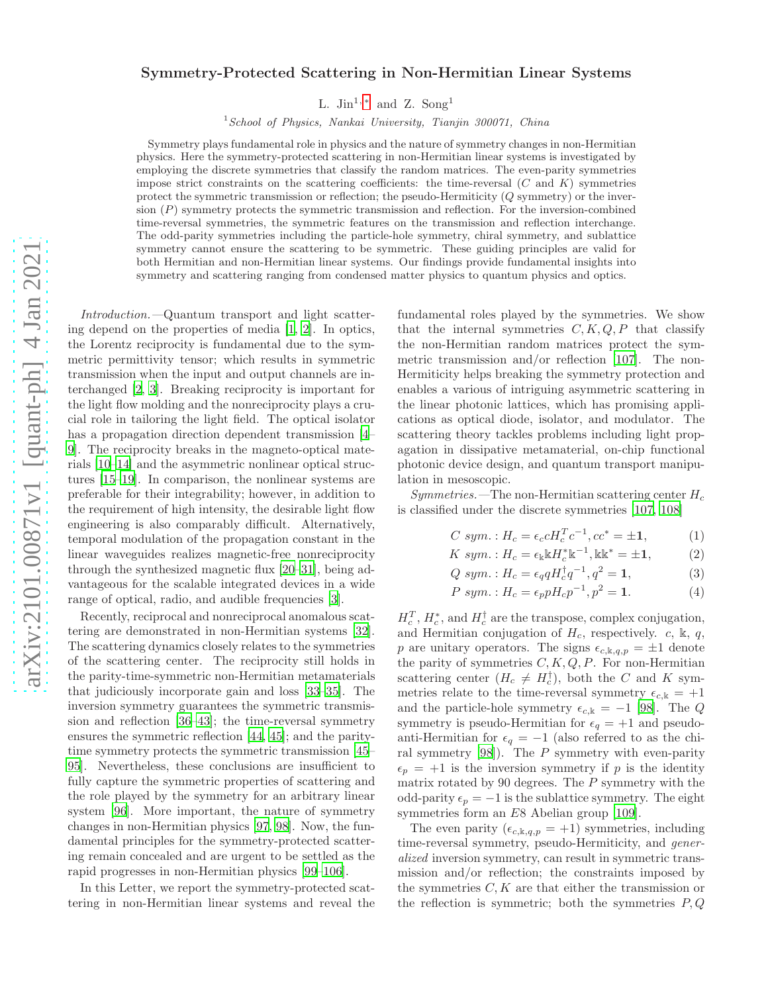# $arXiv:2101.00871v1$  [quant-ph]  $4 \text{ Jan } 2021$ [arXiv:2101.00871v1 \[quant-ph\] 4 Jan 2021](http://arxiv.org/abs/2101.00871v1)

# Symmetry-Protected Scattering in Non-Hermitian Linear Systems

L. Jin<sup>1,\*</sup> and Z. Song<sup>1</sup>

 $1$  School of Physics, Nankai University, Tianjin 300071, China

Symmetry plays fundamental role in physics and the nature of symmetry changes in non-Hermitian physics. Here the symmetry-protected scattering in non-Hermitian linear systems is investigated by employing the discrete symmetries that classify the random matrices. The even-parity symmetries impose strict constraints on the scattering coefficients: the time-reversal  $(C \text{ and } K)$  symmetries protect the symmetric transmission or reflection; the pseudo-Hermiticity  $(Q \text{ symmetry})$  or the inversion (P) symmetry protects the symmetric transmission and reflection. For the inversion-combined time-reversal symmetries, the symmetric features on the transmission and reflection interchange. The odd-parity symmetries including the particle-hole symmetry, chiral symmetry, and sublattice symmetry cannot ensure the scattering to be symmetric. These guiding principles are valid for both Hermitian and non-Hermitian linear systems. Our findings provide fundamental insights into symmetry and scattering ranging from condensed matter physics to quantum physics and optics.

Introduction.—Quantum transport and light scattering depend on the properties of media [\[1,](#page-4-1) [2](#page-4-2)]. In optics, the Lorentz reciprocity is fundamental due to the symmetric permittivity tensor; which results in symmetric transmission when the input and output channels are interchanged [\[2,](#page-4-2) [3\]](#page-4-3). Breaking reciprocity is important for the light flow molding and the nonreciprocity plays a crucial role in tailoring the light field. The optical isolator has a propagation direction dependent transmission [\[4](#page-4-4)– [9](#page-4-5)]. The reciprocity breaks in the magneto-optical materials [\[10](#page-4-6)[–14](#page-4-7)] and the asymmetric nonlinear optical structures [\[15](#page-4-8)[–19](#page-4-9)]. In comparison, the nonlinear systems are preferable for their integrability; however, in addition to the requirement of high intensity, the desirable light flow engineering is also comparably difficult. Alternatively, temporal modulation of the propagation constant in the linear waveguides realizes magnetic-free nonreciprocity through the synthesized magnetic flux [\[20](#page-4-10)[–31](#page-5-0)], being advantageous for the scalable integrated devices in a wide range of optical, radio, and audible frequencies [\[3](#page-4-3)].

Recently, reciprocal and nonreciprocal anomalous scattering are demonstrated in non-Hermitian systems [\[32\]](#page-5-1). The scattering dynamics closely relates to the symmetries of the scattering center. The reciprocity still holds in the parity-time-symmetric non-Hermitian metamaterials that judiciously incorporate gain and loss [\[33](#page-5-2)[–35\]](#page-5-3). The inversion symmetry guarantees the symmetric transmission and reflection [\[36](#page-5-4)[–43\]](#page-5-5); the time-reversal symmetry ensures the symmetric reflection [\[44,](#page-5-6) [45](#page-5-7)]; and the paritytime symmetry protects the symmetric transmission [\[45](#page-5-7)– [95\]](#page-6-0). Nevertheless, these conclusions are insufficient to fully capture the symmetric properties of scattering and the role played by the symmetry for an arbitrary linear system [\[96\]](#page-6-1). More important, the nature of symmetry changes in non-Hermitian physics [\[97,](#page-6-2) [98](#page-6-3)]. Now, the fundamental principles for the symmetry-protected scattering remain concealed and are urgent to be settled as the rapid progresses in non-Hermitian physics [\[99](#page-6-4)[–106\]](#page-6-5).

In this Letter, we report the symmetry-protected scattering in non-Hermitian linear systems and reveal the

fundamental roles played by the symmetries. We show that the internal symmetries  $C, K, Q, P$  that classify the non-Hermitian random matrices protect the symmetric transmission and/or reflection [\[107](#page-6-6)]. The non-Hermiticity helps breaking the symmetry protection and enables a various of intriguing asymmetric scattering in the linear photonic lattices, which has promising applications as optical diode, isolator, and modulator. The scattering theory tackles problems including light propagation in dissipative metamaterial, on-chip functional photonic device design, and quantum transport manipulation in mesoscopic.

 $Symmetries.$  The non-Hermitian scattering center  $H_c$ is classified under the discrete symmetries [\[107,](#page-6-6) [108\]](#page-6-7)

$$
C \; sym. : H_c = \epsilon_c c H_c^T c^{-1}, c c^* = \pm 1, \tag{1}
$$

$$
K \; sym. : H_c = \epsilon_{\mathbb{k}} \mathbb{k} H_c^* \mathbb{k}^{-1}, \mathbb{k} \mathbb{k}^* = \pm 1, \tag{2}
$$

 $Qsym.: H_c = \epsilon_q q H_c^{\dagger} q^{-1}, q^2 = 1,$  (3)

$$
P \, \text{sym. : } H_c = \epsilon_p p H_c p^{-1}, p^2 = 1. \tag{4}
$$

 $H_c^T$ ,  $H_c^*$ , and  $H_c^{\dagger}$  are the transpose, complex conjugation, and Hermitian conjugation of  $H_c$ , respectively. c, k, q, p are unitary operators. The signs  $\epsilon_{c,k,q,p} = \pm 1$  denote the parity of symmetries  $C, K, Q, P$ . For non-Hermitian scattering center  $(H_c \neq H_c^{\dagger})$ , both the C and K symmetries relate to the time-reversal symmetry  $\epsilon_{c,k} = +1$ and the particle-hole symmetry  $\epsilon_{c,k} = -1$  [\[98\]](#page-6-3). The Q symmetry is pseudo-Hermitian for  $\epsilon_q = +1$  and pseudoanti-Hermitian for  $\epsilon_q = -1$  (also referred to as the chiral symmetry  $[98]$ ). The  $P$  symmetry with even-parity  $\epsilon_p = +1$  is the inversion symmetry if p is the identity matrix rotated by 90 degrees. The  $P$  symmetry with the odd-parity  $\epsilon_p = -1$  is the sublattice symmetry. The eight symmetries form an E8 Abelian group [\[109](#page-6-8)].

The even parity  $(\epsilon_{c,k,q,p} = +1)$  symmetries, including time-reversal symmetry, pseudo-Hermiticity, and generalized inversion symmetry, can result in symmetric transmission and/or reflection; the constraints imposed by the symmetries  $C, K$  are that either the transmission or the reflection is symmetric; both the symmetries  $P, Q$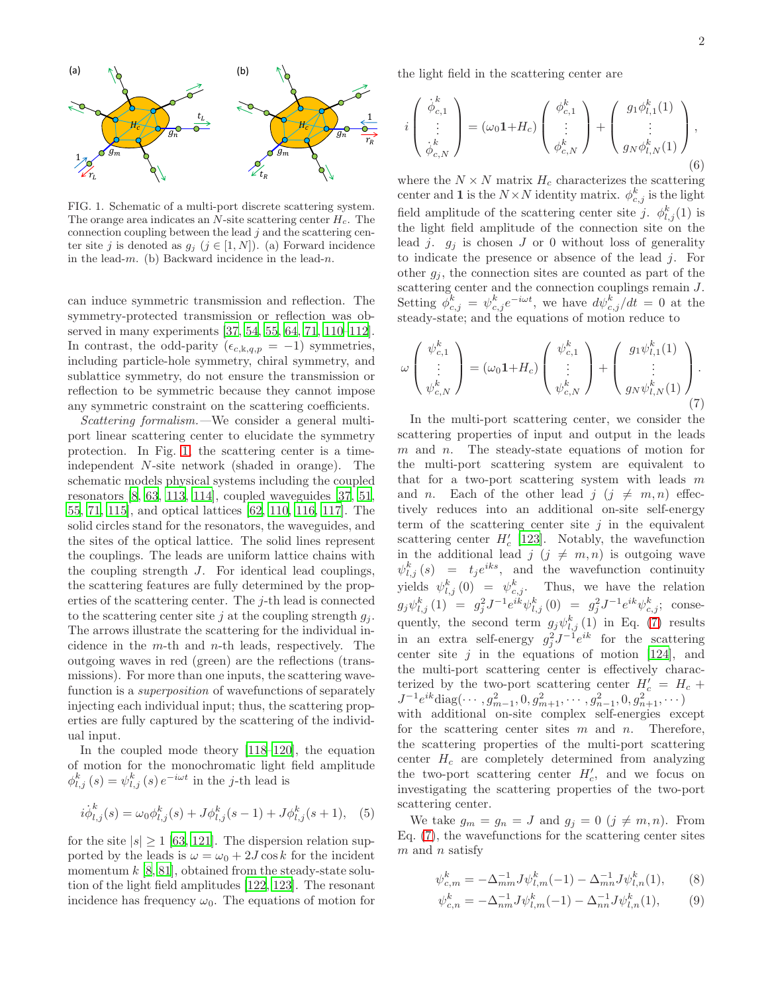

<span id="page-1-0"></span>FIG. 1. Schematic of a multi-port discrete scattering system. The orange area indicates an N-site scattering center  $H_c$ . The connection coupling between the lead  $j$  and the scattering center site j is denoted as  $g_j$  ( $j \in [1, N]$ ). (a) Forward incidence in the lead-m. (b) Backward incidence in the lead-n.

can induce symmetric transmission and reflection. The symmetry-protected transmission or reflection was observed in many experiments [\[37](#page-5-8), [54,](#page-5-9) [55,](#page-5-10) [64](#page-5-11), [71,](#page-5-12) [110](#page-6-9)[–112\]](#page-6-10). In contrast, the odd-parity ( $\epsilon_{c,k,q,p} = -1$ ) symmetries, including particle-hole symmetry, chiral symmetry, and sublattice symmetry, do not ensure the transmission or reflection to be symmetric because they cannot impose any symmetric constraint on the scattering coefficients.

Scattering formalism.—We consider a general multiport linear scattering center to elucidate the symmetry protection. In Fig. [1,](#page-1-0) the scattering center is a timeindependent N-site network (shaded in orange). The schematic models physical systems including the coupled resonators [\[8,](#page-4-11) [63](#page-5-13), [113,](#page-6-11) [114](#page-6-12)], coupled waveguides [\[37,](#page-5-8) [51](#page-5-14), [55,](#page-5-10) [71](#page-5-12), [115](#page-6-13)], and optical lattices [\[62,](#page-5-15) [110,](#page-6-9) [116,](#page-6-14) [117\]](#page-6-15). The solid circles stand for the resonators, the waveguides, and the sites of the optical lattice. The solid lines represent the couplings. The leads are uniform lattice chains with the coupling strength J. For identical lead couplings, the scattering features are fully determined by the properties of the scattering center. The j-th lead is connected to the scattering center site j at the coupling strength  $q_i$ . The arrows illustrate the scattering for the individual incidence in the  $m$ -th and  $n$ -th leads, respectively. The outgoing waves in red (green) are the reflections (transmissions). For more than one inputs, the scattering wavefunction is a *superposition* of wavefunctions of separately injecting each individual input; thus, the scattering properties are fully captured by the scattering of the individual input.

In the coupled mode theory [\[118](#page-6-16)[–120\]](#page-6-17), the equation of motion for the monochromatic light field amplitude  $\phi_{l,j}^{k}(s) = \psi_{l,j}^{k}(s) e^{-i\omega t}$  in the j-th lead is

$$
i\dot{\phi}_{l,j}^{k}(s) = \omega_0 \phi_{l,j}^{k}(s) + J\phi_{l,j}^{k}(s-1) + J\phi_{l,j}^{k}(s+1), \quad (5)
$$

for the site  $|s| \geq 1$  [\[63,](#page-5-13) [121](#page-6-18)]. The dispersion relation supported by the leads is  $\omega = \omega_0 + 2J \cos k$  for the incident momentum  $k$  [\[8](#page-4-11), [81](#page-5-16)], obtained from the steady-state solution of the light field amplitudes [\[122](#page-6-19), [123\]](#page-6-20). The resonant incidence has frequency  $\omega_0$ . The equations of motion for the light field in the scattering center are

<span id="page-1-3"></span>
$$
i\begin{pmatrix} \dot{\phi}_{c,1}^k \\ \vdots \\ \dot{\phi}_{c,N}^k \end{pmatrix} = (\omega_0 \mathbf{1} + H_c) \begin{pmatrix} \phi_{c,1}^k \\ \vdots \\ \phi_{c,N}^k \end{pmatrix} + \begin{pmatrix} g_1 \phi_{l,1}^k(1) \\ \vdots \\ g_N \phi_{l,N}^k(1) \end{pmatrix},
$$
\n(6)

where the  $N \times N$  matrix  $H_c$  characterizes the scattering center and 1 is the  $N \times N$  identity matrix.  $\phi_{c,j}^k$  is the light field amplitude of the scattering center site j.  $\phi_{l,j}^k(1)$  is the light field amplitude of the connection site on the lead j.  $g_i$  is chosen J or 0 without loss of generality to indicate the presence or absence of the lead j. For other  $q_i$ , the connection sites are counted as part of the scattering center and the connection couplings remain  $J$ . Setting  $\overline{\phi}_{c,j}^k = \psi_{c,j}^k e^{-i\omega t}$ , we have  $d\psi_{c,j}^k/dt = 0$  at the steady-state; and the equations of motion reduce to

<span id="page-1-1"></span>
$$
\omega\left(\begin{array}{c}\n\psi_{c,1}^k \\
\vdots \\
\psi_{c,N}^k\n\end{array}\right) = (\omega_0 \mathbf{1} + H_c) \left(\begin{array}{c}\n\psi_{c,1}^k \\
\vdots \\
\psi_{c,N}^k\n\end{array}\right) + \left(\begin{array}{c}\ng_1 \psi_{l,1}^k(1) \\
\vdots \\
g_N \psi_{l,N}^k(1)\n\end{array}\right).
$$
\n(7)

In the multi-port scattering center, we consider the scattering properties of input and output in the leads  $m$  and  $n$ . The steady-state equations of motion for the multi-port scattering system are equivalent to that for a two-port scattering system with leads  $m$ and n. Each of the other lead  $j$   $(j \neq m, n)$  effectively reduces into an additional on-site self-energy term of the scattering center site  $j$  in the equivalent scattering center  $H'_c$  [\[123\]](#page-6-20). Notably, the wavefunction in the additional lead  $j$  ( $j \neq m, n$ ) is outgoing wave  $\psi_{l,j}^k(s) = t_j e^{iks}$ , and the wavefunction continuity yields  $\psi_{l,j}^k(0) = \psi_{c,j}^k$ . Thus, we have the relation  $g_j \psi_{l,j}^k(1) = g_j^2 J^{-1} e^{ik} \psi_{l,j}^k(0) = g_j^2 J^{-1} e^{ik} \psi_{c,j}^k;$  consequently, the second term  $g_j \psi_{l,j}^k(1)$  in Eq. [\(7\)](#page-1-1) results in an extra self-energy  $g_j^2 J^{-1} e^{ik}$  for the scattering center site  $j$  in the equations of motion [\[124\]](#page-6-21), and the multi-port scattering center is effectively characterized by the two-port scattering center  $H'_{c} = H_{c} +$  $J^{-1}e^{ik}$ diag $(\cdots,g_{m-1}^2,0,g_{m+1}^2,\cdots,g_{n-1}^2,0,g_{n+1}^2,\cdots)$ with additional on-site complex self-energies except

for the scattering center sites  $m$  and  $n$ . Therefore, the scattering properties of the multi-port scattering center  $H_c$  are completely determined from analyzing the two-port scattering center  $H'_{c}$ , and we focus on investigating the scattering properties of the two-port scattering center.

We take  $g_m = g_n = J$  and  $g_j = 0$   $(j \neq m, n)$ . From Eq. [\(7\)](#page-1-1), the wavefunctions for the scattering center sites  $m$  and  $n$  satisfy

 $\iota$ 

<span id="page-1-2"></span>
$$
\psi_{c,m}^k = -\Delta_{mm}^{-1} J \psi_{l,m}^k(-1) - \Delta_{mn}^{-1} J \psi_{l,n}^k(1), \qquad (8)
$$

$$
\psi_{c,n}^k = -\Delta_{nm}^{-1} J \psi_{l,m}^k(-1) - \Delta_{nn}^{-1} J \psi_{l,n}^k(1), \tag{9}
$$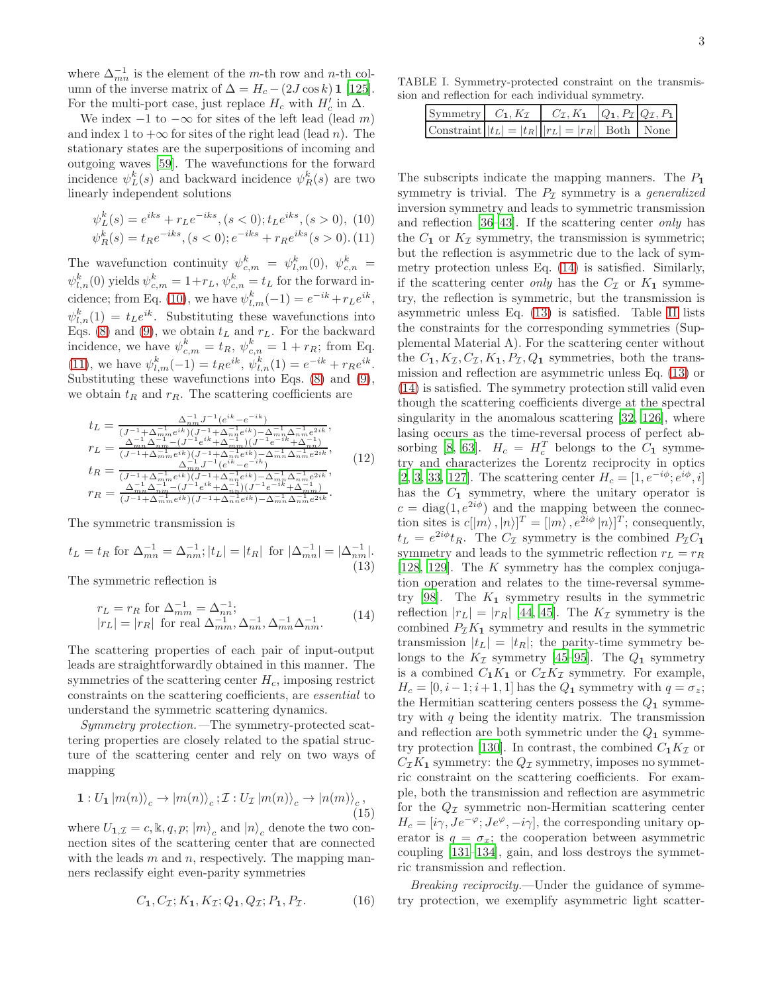where  $\Delta_{mn}^{-1}$  is the element of the m-th row and n-th column of the inverse matrix of  $\Delta = H_c - (2J \cos k) \mathbf{1}$  [\[125\]](#page-6-22). For the multi-port case, just replace  $H_c$  with  $H'_c$  in  $\Delta$ .

We index  $-1$  to  $-\infty$  for sites of the left lead (lead m) and index 1 to  $+\infty$  for sites of the right lead (lead n). The stationary states are the superpositions of incoming and outgoing waves [\[59\]](#page-5-17). The wavefunctions for the forward incidence  $\psi_L^k(s)$  and backward incidence  $\psi_R^k(s)$  are two linearly independent solutions

<span id="page-2-0"></span>
$$
\psi_L^k(s) = e^{iks} + r_L e^{-iks}, (s < 0); t_L e^{iks}, (s > 0), (10)
$$
  

$$
\psi_R^k(s) = t_R e^{-iks}, (s < 0); e^{-iks} + r_R e^{iks}, (s > 0).
$$
 (11)

The wavefunction continuity  $\psi_{c,m}^k = \psi_{l,m}^k(0), \psi_{c,n}^k =$  $\psi_{l,n}^k(0)$  yields  $\psi_{c,m}^k = 1 + r_L$ ,  $\psi_{c,n}^k = t_L$  for the forward in-cidence; from Eq. [\(10\)](#page-2-0), we have  $\psi_{l,m}^k(-1) = e^{-ik} + r_L e^{ik}$ ,  $\psi_{l,n}^k(1) = t_L e^{ik}$ . Substituting these wavefunctions into Eqs. [\(8\)](#page-1-2) and [\(9\)](#page-1-2), we obtain  $t_L$  and  $r_L$ . For the backward incidence, we have  $\psi_{c,m}^k = t_R$ ,  $\psi_{c,n}^k = 1 + r_R$ ; from Eq. [\(11\)](#page-2-0), we have  $\psi_{l,m}^k(-1) = t_R e^{ik}, \psi_{l,n}^k(1) = e^{-ik} + r_R e^{ik}$ . Substituting these wavefunctions into Eqs. [\(8\)](#page-1-2) and [\(9\)](#page-1-2), we obtain  $t_R$  and  $r_R$ . The scattering coefficients are

<span id="page-2-3"></span>
$$
t_L = \frac{\Delta_{nm}^{-1} J^{-1} (e^{ik} - e^{-ik})}{(J^{-1} + \Delta_{nm}^{-1} e^{ik}) (J^{-1} + \Delta_{nn}^{-1} e^{ik}) - \Delta_{nm}^{-1} \Delta_{nm}^{-1} e^{2ik}},
$$
  
\n
$$
r_L = \frac{\Delta_{mn}^{-1} \Delta_{nm}^{-1} - (J^{-1} e^{ik} + \Delta_{nm}^{-1}) (J^{-1} e^{-ik} + \Delta_{nn}^{-1})}{(J^{-1} + \Delta_{nm}^{-1} e^{ik}) (J^{-1} + \Delta_{nn}^{-1} e^{ik}) - \Delta_{nm}^{-1} \Delta_{nm}^{-1} e^{2ik}},
$$
  
\n
$$
t_R = \frac{\Delta_{mn}^{-1} J^{-1} (e^{ik} - e^{-ik})}{(J^{-1} + \Delta_{nm}^{-1} e^{ik}) (J^{-1} + \Delta_{nn}^{-1} e^{ik}) - \Delta_{nm}^{-1} \Delta_{nm}^{-1} e^{2ik}},
$$
  
\n
$$
r_R = \frac{\Delta_{mn}^{-1} \Delta_{nm}^{-1} - (J^{-1} e^{ik} + \Delta_{nn}^{-1}) (J^{-1} e^{-ik} + \Delta_{nm}^{-1})}{(J^{-1} + \Delta_{nm}^{-1} e^{ik}) (J^{-1} + \Delta_{nn}^{-1} e^{ik}) - \Delta_{nm}^{-1} \Delta_{nm}^{-1} e^{2ik}}.
$$
  
\n(12)

The symmetric transmission is

<span id="page-2-2"></span>
$$
t_L = t_R \text{ for } \Delta_{mn}^{-1} = \Delta_{nm}^{-1}; |t_L| = |t_R| \text{ for } |\Delta_{mn}^{-1}| = |\Delta_{nm}^{-1}|.
$$
\n(13)

The symmetric reflection is

<span id="page-2-1"></span>
$$
r_L = r_R \text{ for } \Delta_{mm}^{-1} = \Delta_{nn}^{-1};
$$
  
\n
$$
|r_L| = |r_R| \text{ for real } \Delta_{mm}^{-1}, \Delta_{nn}^{-1}, \Delta_{mn}^{-1} \Delta_{nm}^{-1}.
$$
 (14)

The scattering properties of each pair of input-output leads are straightforwardly obtained in this manner. The symmetries of the scattering center  $H_c$ , imposing restrict constraints on the scattering coefficients, are essential to understand the symmetric scattering dynamics.

Symmetry protection.—The symmetry-protected scattering properties are closely related to the spatial structure of the scattering center and rely on two ways of mapping

$$
\mathbf{1}: U_{\mathbf{1}} |m(n)\rangle_c \to |m(n)\rangle_c; \mathcal{I}: U_{\mathcal{I}} |m(n)\rangle_c \to |n(m)\rangle_c, \tag{15}
$$

where  $U_{1,\mathcal{I}} = c, \mathbb{k}, q, p; |m\rangle_c$  and  $|n\rangle_c$  denote the two connection sites of the scattering center that are connected with the leads  $m$  and  $n$ , respectively. The mapping manners reclassify eight even-parity symmetries

$$
C_1, C_{\mathcal{I}}; K_1, K_{\mathcal{I}}; Q_1, Q_{\mathcal{I}}; P_1, P_{\mathcal{I}}.
$$
 (16)

TABLE I. Symmetry-protected constraint on the transmission and reflection for each individual symmetry.

| Symmetry $C_1, K_{\mathcal{I}}$ $C_{\mathcal{I}}, K_1$ $Q_1, P_{\mathcal{I}}   Q_{\mathcal{I}}, P_1 $ |  |  |
|-------------------------------------------------------------------------------------------------------|--|--|
| Constraint $ t_L  =  t_R    r_L  =  r_R  $ Both   None                                                |  |  |

The subscripts indicate the mapping manners. The  $P_1$ symmetry is trivial. The  $P<sub>\mathcal{I}</sub>$  symmetry is a generalized inversion symmetry and leads to symmetric transmission and reflection [\[36](#page-5-4)[–43](#page-5-5)]. If the scattering center only has the  $C_1$  or  $K_{\mathcal{I}}$  symmetry, the transmission is symmetric; but the reflection is asymmetric due to the lack of symmetry protection unless Eq. [\(14\)](#page-2-1) is satisfied. Similarly, if the scattering center only has the  $C_{\mathcal{I}}$  or  $K_1$  symmetry, the reflection is symmetric, but the transmission is asymmetric unless Eq. [\(13\)](#page-2-2) is satisfied. Table [II](#page-10-0) lists the constraints for the corresponding symmetries (Supplemental Material A). For the scattering center without the  $C_1, K_{\mathcal{I}}, C_{\mathcal{I}}, K_1, P_{\mathcal{I}}, Q_1$  symmetries, both the transmission and reflection are asymmetric unless Eq. [\(13\)](#page-2-2) or [\(14\)](#page-2-1) is satisfied. The symmetry protection still valid even though the scattering coefficients diverge at the spectral singularity in the anomalous scattering [\[32,](#page-5-1) [126](#page-6-23)], where lasing occurs as the time-reversal process of perfect ab-sorbing [\[8](#page-4-11), [63\]](#page-5-13).  $H_c = H_c^T$  belongs to the  $C_1$  symmetry and characterizes the Lorentz reciprocity in optics [\[2,](#page-4-2) [3,](#page-4-3) [33](#page-5-2), [127](#page-6-24)]. The scattering center  $H_c = [1, e^{-i\phi}; e^{i\phi}, i]$ has the  $C_1$  symmetry, where the unitary operator is  $c = \text{diag}(1, e^{2i\phi})$  and the mapping between the connection sites is  $c[[m\rangle, |n\rangle]^T = [[m\rangle, e^{2i\phi} |n\rangle]^T$ ; consequently,  $t_L = e^{2i\phi} t_R$ . The  $C_{\mathcal{I}}$  symmetry is the combined  $P_{\mathcal{I}} C_1$ symmetry and leads to the symmetric reflection  $r_L = r_R$ [\[128,](#page-6-25) [129\]](#page-6-26). The  $K$  symmetry has the complex conjugation operation and relates to the time-reversal symme-try [\[98\]](#page-6-3). The  $K_1$  symmetry results in the symmetric reflection  $|r_L| = |r_R|$  [\[44,](#page-5-6) [45\]](#page-5-7). The  $K_{\mathcal{I}}$  symmetry is the combined  $P_{\mathcal{I}}K_1$  symmetry and results in the symmetric transmission  $|t_L| = |t_R|$ ; the parity-time symmetry belongs to the  $K_{\mathcal{I}}$  symmetry [\[45](#page-5-7)[–95\]](#page-6-0). The  $Q_1$  symmetry is a combined  $C_1K_1$  or  $C_{{\mathcal{I}}}K_{{\mathcal{I}}}$  symmetry. For example,  $H_c = [0, i-1; i+1, 1]$  has the  $Q_1$  symmetry with  $q = \sigma_z$ ; the Hermitian scattering centers possess the  $Q_1$  symmetry with  $q$  being the identity matrix. The transmission and reflection are both symmetric under the  $Q_1$  symme-try protection [\[130\]](#page-6-27). In contrast, the combined  $C_1K_{\mathcal{I}}$  or  $C_{\mathcal{I}}K_1$  symmetry: the  $Q_{\mathcal{I}}$  symmetry, imposes no symmetric constraint on the scattering coefficients. For example, both the transmission and reflection are asymmetric for the  $Q_{\mathcal{I}}$  symmetric non-Hermitian scattering center  $H_c = [i\gamma, Je^{-\varphi}; Je^{\varphi}, -i\gamma]$ , the corresponding unitary operator is  $q = \sigma_x$ ; the cooperation between asymmetric coupling [\[131](#page-6-28)[–134\]](#page-6-29), gain, and loss destroys the symmetric transmission and reflection.

Breaking reciprocity.—Under the guidance of symmetry protection, we exemplify asymmetric light scatter-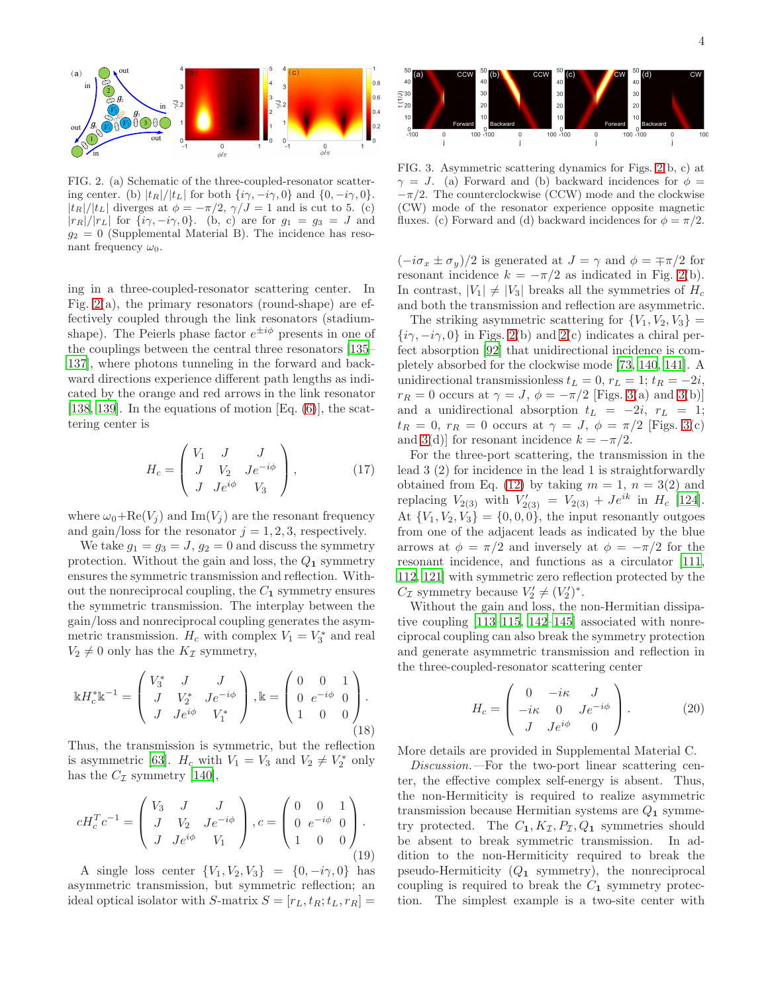

<span id="page-3-0"></span>FIG. 2. (a) Schematic of the three-coupled-resonator scattering center. (b)  $|t_R|/|t_L|$  for both  $\{i\gamma, -i\gamma, 0\}$  and  $\{0, -i\gamma, 0\}$ .  $|t_R|/|t_L|$  diverges at  $\phi = -\pi/2$ ,  $\gamma/J = 1$  and is cut to 5. (c)  $|r_R|/|r_L|$  for  $\{i\gamma, -i\gamma, 0\}$ . (b, c) are for  $g_1 = g_3 = J$  and  $g_2 = 0$  (Supplemental Material B). The incidence has resonant frequency  $\omega_0$ .

ing in a three-coupled-resonator scattering center. In Fig.  $2(a)$ , the primary resonators (round-shape) are effectively coupled through the link resonators (stadiumshape). The Peierls phase factor  $e^{\pm i\phi}$  presents in one of the couplings between the central three resonators [\[135](#page-6-30)– [137](#page-6-31)], where photons tunneling in the forward and backward directions experience different path lengths as indicated by the orange and red arrows in the link resonator [\[138,](#page-6-32) [139\]](#page-6-33). In the equations of motion  $[Eq. (6)]$  $[Eq. (6)]$  $[Eq. (6)]$ , the scattering center is

$$
H_c = \begin{pmatrix} V_1 & J & J \\ J & V_2 & Je^{-i\phi} \\ J & Je^{i\phi} & V_3 \end{pmatrix},
$$
 (17)

where  $\omega_0 + \text{Re}(V_j)$  and Im(V<sub>j</sub>) are the resonant frequency and gain/loss for the resonator  $j = 1, 2, 3$ , respectively.

We take  $g_1 = g_3 = J$ ,  $g_2 = 0$  and discuss the symmetry protection. Without the gain and loss, the  $Q_1$  symmetry ensures the symmetric transmission and reflection. Without the nonreciprocal coupling, the  $C_1$  symmetry ensures the symmetric transmission. The interplay between the gain/loss and nonreciprocal coupling generates the asymmetric transmission.  $H_c$  with complex  $V_1 = V_3^*$  and real  $V_2 \neq 0$  only has the  $K_{\mathcal{I}}$  symmetry,

$$
\mathbb{E}H_c^*\mathbb{E}^{-1} = \begin{pmatrix} V_3^* & J & J \\ J & V_2^* & Je^{-i\phi} \\ J & Je^{i\phi} & V_1^* \end{pmatrix}, \mathbb{E} = \begin{pmatrix} 0 & 0 & 1 \\ 0 & e^{-i\phi} & 0 \\ 1 & 0 & 0 \end{pmatrix}.
$$
\n(18)

Thus, the transmission is symmetric, but the reflection is asymmetric [\[63\]](#page-5-13).  $H_c$  with  $V_1 = V_3$  and  $V_2 \neq V_2^*$  only has the  $C_{\mathcal{I}}$  symmetry [\[140](#page-6-34)],

$$
cH_c^T c^{-1} = \begin{pmatrix} V_3 & J & J \\ J & V_2 & Je^{-i\phi} \\ J & Je^{i\phi} & V_1 \end{pmatrix}, c = \begin{pmatrix} 0 & 0 & 1 \\ 0 & e^{-i\phi} & 0 \\ 1 & 0 & 0 \end{pmatrix}.
$$
\n(19)

A single loss center  $\{V_1, V_2, V_3\} = \{0, -i\gamma, 0\}$  has asymmetric transmission, but symmetric reflection; an ideal optical isolator with S-matrix  $S = [r_L, t_R; t_L, r_R] =$ 



<span id="page-3-1"></span>FIG. 3. Asymmetric scattering dynamics for Figs. [2\(](#page-3-0)b, c) at  $\gamma = J$ . (a) Forward and (b) backward incidences for  $\phi =$  $-\pi/2$ . The counterclockwise (CCW) mode and the clockwise (CW) mode of the resonator experience opposite magnetic fluxes. (c) Forward and (d) backward incidences for  $\phi = \pi/2$ .

 $(-i\sigma_x \pm \sigma_y)/2$  is generated at  $J = \gamma$  and  $\phi = \mp \pi/2$  for resonant incidence  $k = -\pi/2$  as indicated in Fig. [2\(](#page-3-0)b). In contrast,  $|V_1| \neq |V_3|$  breaks all the symmetries of  $H_c$ and both the transmission and reflection are asymmetric.

The striking asymmetric scattering for  $\{V_1, V_2, V_3\}$  =  $\{i\gamma, -i\gamma, 0\}$  in Figs. [2\(](#page-3-0)b) and 2(c) indicates a chiral perfect absorption [\[92\]](#page-6-35) that unidirectional incidence is completely absorbed for the clockwise mode [\[73,](#page-5-18) [140,](#page-6-34) [141\]](#page-6-36). A unidirectional transmissionless  $t_L = 0, r_L = 1; t_R = -2i$ ,  $r_R = 0$  occurs at  $\gamma = J$ ,  $\phi = -\pi/2$  [Figs. [3\(](#page-3-1)a) and 3(b)] and a unidirectional absorption  $t_L = -2i$ ,  $r_L = 1$ ;  $t_R = 0$ ,  $r_R = 0$  occurs at  $\gamma = J$ ,  $\phi = \pi/2$  [Figs. [3\(](#page-3-1)c) and [3\(](#page-3-1)d)] for resonant incidence  $k = -\pi/2$ .

For the three-port scattering, the transmission in the lead 3 (2) for incidence in the lead 1 is straightforwardly obtained from Eq. [\(12\)](#page-2-3) by taking  $m = 1$ ,  $n = 3(2)$  and replacing  $V_{2(3)}$  with  $V'_{2(3)} = V_{2(3)} + Je^{ik}$  in  $H_c$  [\[124\]](#page-6-21). At  ${V_1, V_2, V_3} = {0, 0, 0}$ , the input resonantly outgoes from one of the adjacent leads as indicated by the blue arrows at  $\phi = \pi/2$  and inversely at  $\phi = -\pi/2$  for the resonant incidence, and functions as a circulator [\[111](#page-6-37), [112,](#page-6-10) [121\]](#page-6-18) with symmetric zero reflection protected by the  $C_{\mathcal{I}}$  symmetry because  $V_2' \neq (V_2')^*$ .

Without the gain and loss, the non-Hermitian dissipative coupling [\[113](#page-6-11)[–115,](#page-6-13) [142](#page-6-38)[–145\]](#page-6-39) associated with nonreciprocal coupling can also break the symmetry protection and generate asymmetric transmission and reflection in the three-coupled-resonator scattering center

$$
H_c = \begin{pmatrix} 0 & -i\kappa & J \\ -i\kappa & 0 & Je^{-i\phi} \\ J & Je^{i\phi} & 0 \end{pmatrix}.
$$
 (20)

More details are provided in Supplemental Material C.

Discussion.—For the two-port linear scattering center, the effective complex self-energy is absent. Thus, the non-Hermiticity is required to realize asymmetric transmission because Hermitian systems are  $Q_1$  symmetry protected. The  $C_1, K_{\mathcal{I}}, P_{\mathcal{I}}, Q_1$  symmetries should be absent to break symmetric transmission. In addition to the non-Hermiticity required to break the pseudo-Hermiticity  $(Q_1)$  symmetry), the nonreciprocal coupling is required to break the  $C_1$  symmetry protection. The simplest example is a two-site center with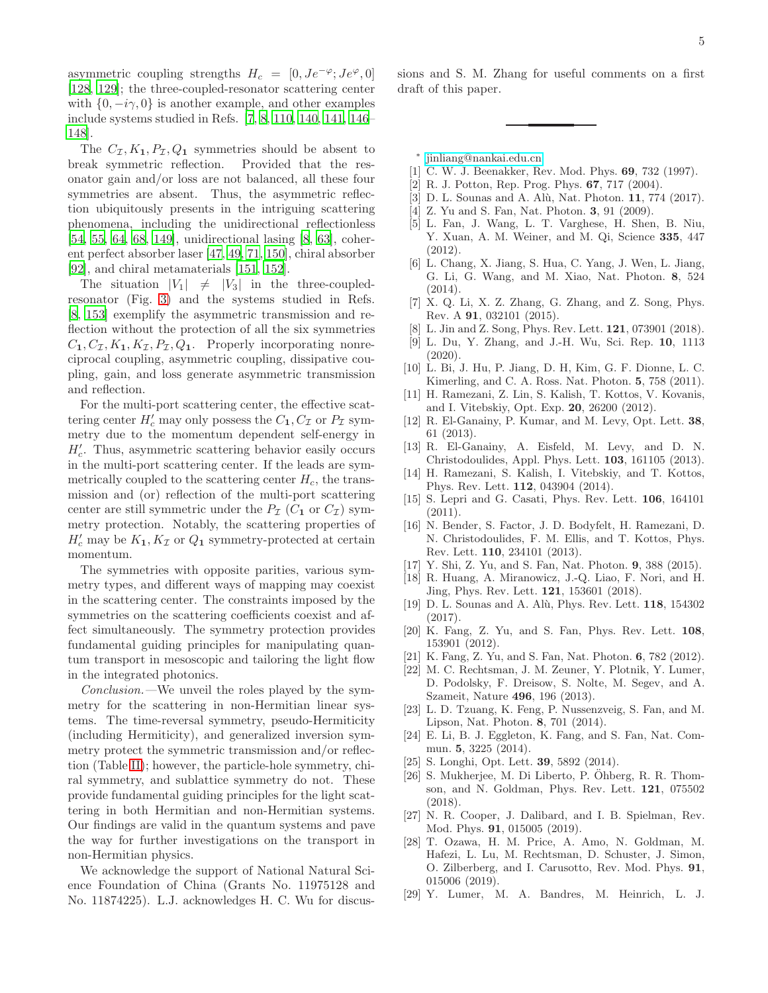asymmetric coupling strengths  $H_c = [0, Je^{-\varphi}; Je^{\varphi}, 0]$ [\[128,](#page-6-25) [129](#page-6-26)]; the three-coupled-resonator scattering center with  $\{0, -i\gamma, 0\}$  is another example, and other examples include systems studied in Refs. [\[7](#page-4-12), [8,](#page-4-11) [110](#page-6-9), [140,](#page-6-34) [141,](#page-6-36) [146](#page-6-40)– [148\]](#page-6-41).

The  $C_{\mathcal{I}}, K_1, P_{\mathcal{I}}, Q_1$  symmetries should be absent to break symmetric reflection. Provided that the resonator gain and/or loss are not balanced, all these four symmetries are absent. Thus, the asymmetric reflection ubiquitously presents in the intriguing scattering phenomena, including the unidirectional reflectionless [\[54,](#page-5-9) [55](#page-5-10), [64,](#page-5-11) [68](#page-5-19), [149\]](#page-7-0), unidirectional lasing [\[8,](#page-4-11) [63](#page-5-13)], coherent perfect absorber laser [\[47,](#page-5-20) [49,](#page-5-21) [71](#page-5-12), [150](#page-7-1)], chiral absorber [\[92\]](#page-6-35), and chiral metamaterials [\[151,](#page-7-2) [152\]](#page-7-3).

The situation  $|V_1| \neq |V_3|$  in the three-coupledresonator (Fig. [3\)](#page-3-1) and the systems studied in Refs. [\[8,](#page-4-11) [153\]](#page-7-4) exemplify the asymmetric transmission and reflection without the protection of all the six symmetries  $C_1, C_{\mathcal{I}}, K_1, K_{\mathcal{I}}, P_{\mathcal{I}}, Q_1$ . Properly incorporating nonreciprocal coupling, asymmetric coupling, dissipative coupling, gain, and loss generate asymmetric transmission and reflection.

For the multi-port scattering center, the effective scattering center  $H'_c$  may only possess the  $C_1, C_{\mathcal{I}}$  or  $P_{\mathcal{I}}$  symmetry due to the momentum dependent self-energy in  $H'_{c}$ . Thus, asymmetric scattering behavior easily occurs in the multi-port scattering center. If the leads are symmetrically coupled to the scattering center  $H_c$ , the transmission and (or) reflection of the multi-port scattering center are still symmetric under the  $P_{\mathcal{I}}(C_1 \text{ or } C_{\mathcal{I}})$  symmetry protection. Notably, the scattering properties of  $H'_c$  may be  $K_1, K_{\mathcal{I}}$  or  $Q_1$  symmetry-protected at certain momentum.

The symmetries with opposite parities, various symmetry types, and different ways of mapping may coexist in the scattering center. The constraints imposed by the symmetries on the scattering coefficients coexist and affect simultaneously. The symmetry protection provides fundamental guiding principles for manipulating quantum transport in mesoscopic and tailoring the light flow in the integrated photonics.

Conclusion.—We unveil the roles played by the symmetry for the scattering in non-Hermitian linear systems. The time-reversal symmetry, pseudo-Hermiticity (including Hermiticity), and generalized inversion symmetry protect the symmetric transmission and/or reflection (Table [II\)](#page-10-0); however, the particle-hole symmetry, chiral symmetry, and sublattice symmetry do not. These provide fundamental guiding principles for the light scattering in both Hermitian and non-Hermitian systems. Our findings are valid in the quantum systems and pave the way for further investigations on the transport in non-Hermitian physics.

We acknowledge the support of National Natural Science Foundation of China (Grants No. 11975128 and No. 11874225). L.J. acknowledges H. C. Wu for discus-

- <span id="page-4-0"></span>∗ [jinliang@nankai.edu.cn](mailto:jinliang@nankai.edu.cn)
- <span id="page-4-1"></span>[1] C. W. J. Beenakker, Rev. Mod. Phys. **69**, 732 (1997).
- <span id="page-4-2"></span>[2] R. J. Potton, Rep. Prog. Phys. 67, 717 (2004).
- <span id="page-4-3"></span>[3] D. L. Sounas and A. Alù, Nat. Photon. 11, 774 (2017).
- <span id="page-4-4"></span>[4] Z. Yu and S. Fan, Nat. Photon. 3, 91 (2009).
- [5] L. Fan, J. Wang, L. T. Varghese, H. Shen, B. Niu, Y. Xuan, A. M. Weiner, and M. Qi, Science 335, 447 (2012).
- [6] L. Chang, X. Jiang, S. Hua, C. Yang, J. Wen, L. Jiang, G. Li, G. Wang, and M. Xiao, Nat. Photon. 8, 524  $(2014).$
- <span id="page-4-12"></span>[7] X. Q. Li, X. Z. Zhang, G. Zhang, and Z. Song, Phys. Rev. A 91, 032101 (2015).
- <span id="page-4-11"></span>[8] L. Jin and Z. Song, Phys. Rev. Lett. **121**, 073901 (2018).
- <span id="page-4-5"></span>[9] L. Du, Y. Zhang, and J.-H. Wu, Sci. Rep. 10, 1113 (2020).
- <span id="page-4-6"></span>[10] L. Bi, J. Hu, P. Jiang, D. H, Kim, G. F. Dionne, L. C. Kimerling, and C. A. Ross. Nat. Photon. 5, 758 (2011).
- [11] H. Ramezani, Z. Lin, S. Kalish, T. Kottos, V. Kovanis, and I. Vitebskiy, Opt. Exp. 20, 26200 (2012).
- [12] R. El-Ganainy, P. Kumar, and M. Levy, Opt. Lett. 38, 61 (2013).
- [13] R. El-Ganainy, A. Eisfeld, M. Levy, and D. N. Christodoulides, Appl. Phys. Lett. 103, 161105 (2013).
- <span id="page-4-7"></span>[14] H. Ramezani, S. Kalish, I. Vitebskiy, and T. Kottos, Phys. Rev. Lett. 112, 043904 (2014).
- <span id="page-4-8"></span>[15] S. Lepri and G. Casati, Phys. Rev. Lett. 106, 164101  $(2011).$
- [16] N. Bender, S. Factor, J. D. Bodyfelt, H. Ramezani, D. N. Christodoulides, F. M. Ellis, and T. Kottos, Phys. Rev. Lett. 110, 234101 (2013).
- [17] Y. Shi, Z. Yu, and S. Fan, Nat. Photon. 9, 388 (2015).
- [18] R. Huang, A. Miranowicz, J.-Q. Liao, F. Nori, and H. Jing, Phys. Rev. Lett. 121, 153601 (2018).
- <span id="page-4-9"></span>[19] D. L. Sounas and A. Alù, Phys. Rev. Lett. **118**, 154302 (2017).
- <span id="page-4-10"></span>[20] K. Fang, Z. Yu, and S. Fan, Phys. Rev. Lett. 108, 153901 (2012).
- [21] K. Fang, Z. Yu, and S. Fan, Nat. Photon. 6, 782 (2012).
- [22] M. C. Rechtsman, J. M. Zeuner, Y. Plotnik, Y. Lumer, D. Podolsky, F. Dreisow, S. Nolte, M. Segev, and A. Szameit, Nature 496, 196 (2013).
- [23] L. D. Tzuang, K. Feng, P. Nussenzveig, S. Fan, and M. Lipson, Nat. Photon. 8, 701 (2014).
- [24] E. Li, B. J. Eggleton, K. Fang, and S. Fan, Nat. Commun. 5, 3225 (2014).
- [25] S. Longhi, Opt. Lett. **39**, 5892 (2014).
- [26] S. Mukherjee, M. Di Liberto, P. Öhberg, R. R. Thomson, and N. Goldman, Phys. Rev. Lett. 121, 075502 (2018).
- [27] N. R. Cooper, J. Dalibard, and I. B. Spielman, Rev. Mod. Phys. 91, 015005 (2019).
- [28] T. Ozawa, H. M. Price, A. Amo, N. Goldman, M. Hafezi, L. Lu, M. Rechtsman, D. Schuster, J. Simon, O. Zilberberg, and I. Carusotto, Rev. Mod. Phys. 91, 015006 (2019).
- [29] Y. Lumer, M. A. Bandres, M. Heinrich, L. J.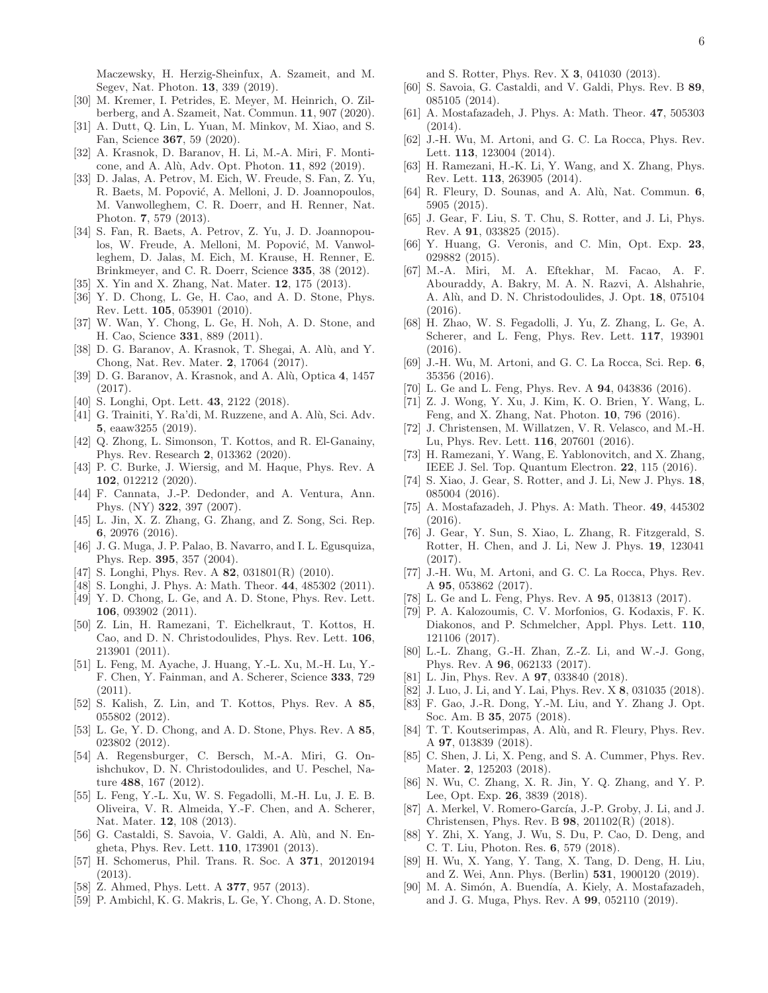Maczewsky, H. Herzig-Sheinfux, A. Szameit, and M. Segev, Nat. Photon. 13, 339 (2019).

- [30] M. Kremer, I. Petrides, E. Meyer, M. Heinrich, O. Zilberberg, and A. Szameit, Nat. Commun. 11, 907 (2020).
- <span id="page-5-0"></span>[31] A. Dutt, Q. Lin, L. Yuan, M. Minkov, M. Xiao, and S. Fan, Science 367, 59 (2020).
- <span id="page-5-1"></span>[32] A. Krasnok, D. Baranov, H. Li, M.-A. Miri, F. Monticone, and A. Alù, Adv. Opt. Photon. 11, 892 (2019).
- <span id="page-5-2"></span>[33] D. Jalas, A. Petrov, M. Eich, W. Freude, S. Fan, Z. Yu, R. Baets, M. Popović, A. Melloni, J. D. Joannopoulos, M. Vanwolleghem, C. R. Doerr, and H. Renner, Nat. Photon. 7, 579 (2013).
- [34] S. Fan, R. Baets, A. Petrov, Z. Yu, J. D. Joannopoulos, W. Freude, A. Melloni, M. Popović, M. Vanwolleghem, D. Jalas, M. Eich, M. Krause, H. Renner, E. Brinkmeyer, and C. R. Doerr, Science 335, 38 (2012).
- <span id="page-5-3"></span>[35] X. Yin and X. Zhang, Nat. Mater. 12, 175 (2013).
- <span id="page-5-4"></span>[36] Y. D. Chong, L. Ge, H. Cao, and A. D. Stone, Phys. Rev. Lett. 105, 053901 (2010).
- <span id="page-5-8"></span>[37] W. Wan, Y. Chong, L. Ge, H. Noh, A. D. Stone, and H. Cao, Science 331, 889 (2011).
- [38] D. G. Baranov, A. Krasnok, T. Shegai, A. Alù, and Y. Chong, Nat. Rev. Mater. 2, 17064 (2017).
- [39] D. G. Baranov, A. Krasnok, and A. Alù, Optica 4, 1457 (2017).
- [40] S. Longhi, Opt. Lett. **43**, 2122 (2018).
- [41] G. Trainiti, Y. Ra'di, M. Ruzzene, and A. Alù, Sci. Adv. 5, eaaw3255 (2019).
- [42] Q. Zhong, L. Simonson, T. Kottos, and R. El-Ganainy, Phys. Rev. Research 2, 013362 (2020).
- <span id="page-5-5"></span>[43] P. C. Burke, J. Wiersig, and M. Haque, Phys. Rev. A 102, 012212 (2020).
- <span id="page-5-6"></span>[44] F. Cannata, J.-P. Dedonder, and A. Ventura, Ann. Phys. (NY) 322, 397 (2007).
- <span id="page-5-7"></span>[45] L. Jin, X. Z. Zhang, G. Zhang, and Z. Song, Sci. Rep. 6, 20976 (2016).
- [46] J. G. Muga, J. P. Palao, B. Navarro, and I. L. Egusquiza, Phys. Rep. 395, 357 (2004).
- <span id="page-5-20"></span>[47] S. Longhi, Phys. Rev. A **82**, 031801(R) (2010).
- [48] S. Longhi, J. Phys. A: Math. Theor. 44, 485302 (2011).
- <span id="page-5-21"></span>[49] Y. D. Chong, L. Ge, and A. D. Stone, Phys. Rev. Lett. 106, 093902 (2011).
- [50] Z. Lin, H. Ramezani, T. Eichelkraut, T. Kottos, H. Cao, and D. N. Christodoulides, Phys. Rev. Lett. 106, 213901 (2011).
- <span id="page-5-14"></span>[51] L. Feng, M. Ayache, J. Huang, Y.-L. Xu, M.-H. Lu, Y.- F. Chen, Y. Fainman, and A. Scherer, Science 333, 729 (2011).
- [52] S. Kalish, Z. Lin, and T. Kottos, Phys. Rev. A 85, 055802 (2012).
- [53] L. Ge, Y. D. Chong, and A. D. Stone, Phys. Rev. A 85, 023802 (2012).
- <span id="page-5-9"></span>[54] A. Regensburger, C. Bersch, M.-A. Miri, G. Onishchukov, D. N. Christodoulides, and U. Peschel, Nature 488, 167 (2012).
- <span id="page-5-10"></span>[55] L. Feng, Y.-L. Xu, W. S. Fegadolli, M.-H. Lu, J. E. B. Oliveira, V. R. Almeida, Y.-F. Chen, and A. Scherer, Nat. Mater. 12, 108 (2013).
- [56] G. Castaldi, S. Savoia, V. Galdi, A. Alù, and N. Engheta, Phys. Rev. Lett. 110, 173901 (2013).
- [57] H. Schomerus, Phil. Trans. R. Soc. A 371, 20120194 (2013).
- [58] Z. Ahmed, Phys. Lett. A **377**, 957 (2013).
- <span id="page-5-17"></span>[59] P. Ambichl, K. G. Makris, L. Ge, Y. Chong, A. D. Stone,

and S. Rotter, Phys. Rev. X 3, 041030 (2013).

- [60] S. Savoia, G. Castaldi, and V. Galdi, Phys. Rev. B 89, 085105 (2014).
- [61] A. Mostafazadeh, J. Phys. A: Math. Theor. 47, 505303 (2014).
- <span id="page-5-15"></span>[62] J.-H. Wu, M. Artoni, and G. C. La Rocca, Phys. Rev. Lett. 113, 123004 (2014).
- <span id="page-5-13"></span>[63] H. Ramezani, H.-K. Li, Y. Wang, and X. Zhang, Phys. Rev. Lett. 113, 263905 (2014).
- <span id="page-5-11"></span>[64] R. Fleury, D. Sounas, and A. Alù, Nat. Commun. 6, 5905 (2015).
- [65] J. Gear, F. Liu, S. T. Chu, S. Rotter, and J. Li, Phys. Rev. A 91, 033825 (2015).
- [66] Y. Huang, G. Veronis, and C. Min, Opt. Exp. 23, 029882 (2015).
- [67] M.-A. Miri, M. A. Eftekhar, M. Facao, A. F. Abouraddy, A. Bakry, M. A. N. Razvi, A. Alshahrie, A. Alù, and D. N. Christodoulides, J. Opt. 18, 075104 (2016).
- <span id="page-5-19"></span>[68] H. Zhao, W. S. Fegadolli, J. Yu, Z. Zhang, L. Ge, A. Scherer, and L. Feng, Phys. Rev. Lett. 117, 193901 (2016).
- [69] J.-H. Wu, M. Artoni, and G. C. La Rocca, Sci. Rep. 6, 35356 (2016).
- [70] L. Ge and L. Feng, Phys. Rev. A 94, 043836 (2016).
- <span id="page-5-12"></span>[71] Z. J. Wong, Y. Xu, J. Kim, K. O. Brien, Y. Wang, L. Feng, and X. Zhang, Nat. Photon. 10, 796 (2016).
- [72] J. Christensen, M. Willatzen, V. R. Velasco, and M.-H. Lu, Phys. Rev. Lett. 116, 207601 (2016).
- <span id="page-5-18"></span>[73] H. Ramezani, Y. Wang, E. Yablonovitch, and X. Zhang, IEEE J. Sel. Top. Quantum Electron. 22, 115 (2016).
- [74] S. Xiao, J. Gear, S. Rotter, and J. Li, New J. Phys. 18, 085004 (2016).
- [75] A. Mostafazadeh, J. Phys. A: Math. Theor. 49, 445302 (2016).
- [76] J. Gear, Y. Sun, S. Xiao, L. Zhang, R. Fitzgerald, S. Rotter, H. Chen, and J. Li, New J. Phys. 19, 123041 (2017).
- [77] J.-H. Wu, M. Artoni, and G. C. La Rocca, Phys. Rev. A 95, 053862 (2017).
- [78] L. Ge and L. Feng, Phys. Rev. A 95, 013813 (2017).
- [79] P. A. Kalozoumis, C. V. Morfonios, G. Kodaxis, F. K. Diakonos, and P. Schmelcher, Appl. Phys. Lett. 110, 121106 (2017).
- [80] L.-L. Zhang, G.-H. Zhan, Z.-Z. Li, and W.-J. Gong, Phys. Rev. A 96, 062133 (2017).
- <span id="page-5-16"></span>[81] L. Jin, Phys. Rev. A **97**, 033840 (2018).
- [82] J. Luo, J. Li, and Y. Lai, Phys. Rev. X 8, 031035 (2018).
- [83] F. Gao, J.-R. Dong, Y.-M. Liu, and Y. Zhang J. Opt. Soc. Am. B 35, 2075 (2018).
- [84] T. T. Koutserimpas, A. Alù, and R. Fleury, Phys. Rev. A 97, 013839 (2018).
- [85] C. Shen, J. Li, X. Peng, and S. A. Cummer, Phys. Rev. Mater. **2**, 125203 (2018).
- [86] N. Wu, C. Zhang, X. R. Jin, Y. Q. Zhang, and Y. P. Lee, Opt. Exp. 26, 3839 (2018).
- [87] A. Merkel, V. Romero-García, J.-P. Groby, J. Li, and J. Christensen, Phys. Rev. B 98, 201102(R) (2018).
- [88] Y. Zhi, X. Yang, J. Wu, S. Du, P. Cao, D. Deng, and C. T. Liu, Photon. Res. 6, 579 (2018).
- [89] H. Wu, X. Yang, Y. Tang, X. Tang, D. Deng, H. Liu, and Z. Wei, Ann. Phys. (Berlin) 531, 1900120 (2019).
- [90] M. A. Simón, A. Buendía, A. Kiely, A. Mostafazadeh, and J. G. Muga, Phys. Rev. A 99, 052110 (2019).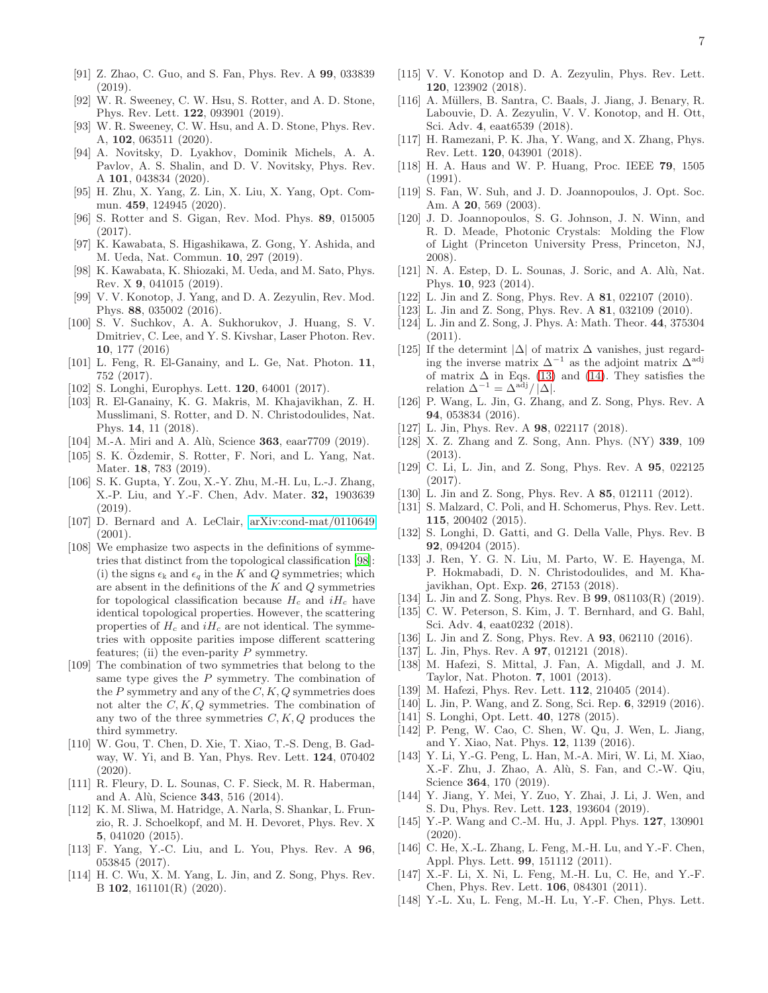- [91] Z. Zhao, C. Guo, and S. Fan, Phys. Rev. A 99, 033839 (2019).
- <span id="page-6-35"></span>[92] W. R. Sweeney, C. W. Hsu, S. Rotter, and A. D. Stone, Phys. Rev. Lett. 122, 093901 (2019).
- [93] W. R. Sweeney, C. W. Hsu, and A. D. Stone, Phys. Rev. A, 102, 063511 (2020).
- [94] A. Novitsky, D. Lyakhov, Dominik Michels, A. A. Pavlov, A. S. Shalin, and D. V. Novitsky, Phys. Rev. A 101, 043834 (2020).
- <span id="page-6-0"></span>[95] H. Zhu, X. Yang, Z. Lin, X. Liu, X. Yang, Opt. Commun. 459, 124945 (2020).
- <span id="page-6-1"></span>[96] S. Rotter and S. Gigan, Rev. Mod. Phys. 89, 015005 (2017).
- <span id="page-6-2"></span>[97] K. Kawabata, S. Higashikawa, Z. Gong, Y. Ashida, and M. Ueda, Nat. Commun. 10, 297 (2019).
- <span id="page-6-3"></span>[98] K. Kawabata, K. Shiozaki, M. Ueda, and M. Sato, Phys. Rev. X 9, 041015 (2019).
- <span id="page-6-4"></span>[99] V. V. Konotop, J. Yang, and D. A. Zezyulin, Rev. Mod. Phys. 88, 035002 (2016).
- [100] S. V. Suchkov, A. A. Sukhorukov, J. Huang, S. V. Dmitriev, C. Lee, and Y. S. Kivshar, Laser Photon. Rev. 10, 177 (2016)
- [101] L. Feng, R. El-Ganainy, and L. Ge, Nat. Photon. 11, 752 (2017).
- [102] S. Longhi, Europhys. Lett. **120**, 64001 (2017).
- [103] R. El-Ganainy, K. G. Makris, M. Khajavikhan, Z. H. Musslimani, S. Rotter, and D. N. Christodoulides, Nat. Phys. 14, 11 (2018).
- [104] M.-A. Miri and A. Alù, Science 363, eaar7709 (2019).
- [105] S. K. Özdemir, S. Rotter, F. Nori, and L. Yang, Nat. Mater. 18, 783 (2019).
- <span id="page-6-5"></span>[106] S. K. Gupta, Y. Zou, X.-Y. Zhu, M.-H. Lu, L.-J. Zhang, X.-P. Liu, and Y.-F. Chen, Adv. Mater. 32, 1903639 (2019).
- <span id="page-6-6"></span>[107] D. Bernard and A. LeClair, [arXiv:cond-mat/0110649](http://arxiv.org/abs/cond-mat/0110649) (2001).
- <span id="page-6-7"></span>[108] We emphasize two aspects in the definitions of symmetries that distinct from the topological classification [\[98](#page-6-3)]: (i) the signs  $\epsilon_k$  and  $\epsilon_q$  in the K and Q symmetries; which are absent in the definitions of the  $K$  and  $Q$  symmetries for topological classification because  $H_c$  and  $iH_c$  have identical topological properties. However, the scattering properties of  $H_c$  and  $iH_c$  are not identical. The symmetries with opposite parities impose different scattering features; (ii) the even-parity  $P$  symmetry.
- <span id="page-6-8"></span>[109] The combination of two symmetries that belong to the same type gives the  $P$  symmetry. The combination of the P symmetry and any of the  $C, K, Q$  symmetries does not alter the  $C, K, Q$  symmetries. The combination of any two of the three symmetries  $C, K, Q$  produces the third symmetry.
- <span id="page-6-9"></span>[110] W. Gou, T. Chen, D. Xie, T. Xiao, T.-S. Deng, B. Gadway, W. Yi, and B. Yan, Phys. Rev. Lett. 124, 070402 (2020).
- <span id="page-6-37"></span>[111] R. Fleury, D. L. Sounas, C. F. Sieck, M. R. Haberman, and A. Alù, Science **343**, 516 (2014).
- <span id="page-6-10"></span>[112] K. M. Sliwa, M. Hatridge, A. Narla, S. Shankar, L. Frunzio, R. J. Schoelkopf, and M. H. Devoret, Phys. Rev. X 5, 041020 (2015).
- <span id="page-6-11"></span>[113] F. Yang, Y.-C. Liu, and L. You, Phys. Rev. A 96, 053845 (2017).
- <span id="page-6-12"></span>[114] H. C. Wu, X. M. Yang, L. Jin, and Z. Song, Phys. Rev. B 102, 161101(R) (2020).
- <span id="page-6-13"></span>[115] V. V. Konotop and D. A. Zezyulin, Phys. Rev. Lett. 120, 123902 (2018).
- <span id="page-6-14"></span>[116] A. Müllers, B. Santra, C. Baals, J. Jiang, J. Benary, R. Labouvie, D. A. Zezyulin, V. V. Konotop, and H. Ott, Sci. Adv. 4, eaat6539 (2018).
- <span id="page-6-15"></span>[117] H. Ramezani, P. K. Jha, Y. Wang, and X. Zhang, Phys. Rev. Lett. 120, 043901 (2018).
- <span id="page-6-16"></span>[118] H. A. Haus and W. P. Huang, Proc. IEEE 79, 1505 (1991).
- [119] S. Fan, W. Suh, and J. D. Joannopoulos, J. Opt. Soc. Am. A 20, 569 (2003).
- <span id="page-6-17"></span>[120] J. D. Joannopoulos, S. G. Johnson, J. N. Winn, and R. D. Meade, Photonic Crystals: Molding the Flow of Light (Princeton University Press, Princeton, NJ, 2008).
- <span id="page-6-18"></span> $[121]$  N. A. Estep, D. L. Sounas, J. Soric, and A. Alù, Nat. Phys. 10, 923 (2014).
- <span id="page-6-19"></span>[122] L. Jin and Z. Song, Phys. Rev. A 81, 022107 (2010).
- <span id="page-6-20"></span>[123] L. Jin and Z. Song, Phys. Rev. A **81**, 032109 (2010).
- <span id="page-6-21"></span>[124] L. Jin and Z. Song, J. Phys. A: Math. Theor. 44, 375304 (2011).
- <span id="page-6-22"></span>[125] If the determint  $|\Delta|$  of matrix  $\Delta$  vanishes, just regarding the inverse matrix  $\Delta^{-1}$  as the adjoint matrix  $\Delta^{\text{adj}}$ of matrix  $\Delta$  in Eqs. [\(13\)](#page-2-2) and [\(14\)](#page-2-1). They satisfies the relation  $\Delta^{-1} = \Delta^{adj} / |\Delta|$ .
- <span id="page-6-23"></span>[126] P. Wang, L. Jin, G. Zhang, and Z. Song, Phys. Rev. A 94, 053834 (2016).
- <span id="page-6-24"></span>[127] L. Jin, Phys. Rev. A **98**, 022117 (2018).
- <span id="page-6-25"></span>[128] X. Z. Zhang and Z. Song, Ann. Phys. (NY) 339, 109 (2013).
- <span id="page-6-26"></span>[129] C. Li, L. Jin, and Z. Song, Phys. Rev. A **95**, 022125 (2017).
- <span id="page-6-27"></span>[130] L. Jin and Z. Song, Phys. Rev. A 85, 012111 (2012).
- <span id="page-6-28"></span>[131] S. Malzard, C. Poli, and H. Schomerus, Phys. Rev. Lett. 115, 200402 (2015).
- [132] S. Longhi, D. Gatti, and G. Della Valle, Phys. Rev. B 92, 094204 (2015).
- [133] J. Ren, Y. G. N. Liu, M. Parto, W. E. Hayenga, M. P. Hokmabadi, D. N. Christodoulides, and M. Khajavikhan, Opt. Exp. 26, 27153 (2018).
- <span id="page-6-29"></span>[134] L. Jin and Z. Song, Phys. Rev. B **99**, 081103(R) (2019).
- <span id="page-6-30"></span>[135] C. W. Peterson, S. Kim, J. T. Bernhard, and G. Bahl, Sci. Adv. 4, eaat0232 (2018).
- [136] L. Jin and Z. Song, Phys. Rev. A 93, 062110 (2016).
- <span id="page-6-31"></span>[137] L. Jin, Phys. Rev. A **97**, 012121 (2018).
- <span id="page-6-32"></span>[138] M. Hafezi, S. Mittal, J. Fan, A. Migdall, and J. M. Taylor, Nat. Photon. 7, 1001 (2013).
- <span id="page-6-33"></span>[139] M. Hafezi, Phys. Rev. Lett. **112**, 210405 (2014).
- <span id="page-6-34"></span>[140] L. Jin, P. Wang, and Z. Song, Sci. Rep. 6, 32919 (2016).
- <span id="page-6-36"></span>[141] S. Longhi, Opt. Lett. **40**, 1278 (2015).
- <span id="page-6-38"></span>[142] P. Peng, W. Cao, C. Shen, W. Qu, J. Wen, L. Jiang, and Y. Xiao, Nat. Phys. 12, 1139 (2016).
- [143] Y. Li, Y.-G. Peng, L. Han, M.-A. Miri, W. Li, M. Xiao, X.-F. Zhu, J. Zhao, A. Alù, S. Fan, and C.-W. Qiu, Science 364, 170 (2019).
- <span id="page-6-42"></span>[144] Y. Jiang, Y. Mei, Y. Zuo, Y. Zhai, J. Li, J. Wen, and S. Du, Phys. Rev. Lett. 123, 193604 (2019).
- <span id="page-6-39"></span>[145] Y.-P. Wang and C.-M. Hu, J. Appl. Phys. **127**, 130901 (2020).
- <span id="page-6-40"></span>[146] C. He, X.-L. Zhang, L. Feng, M.-H. Lu, and Y.-F. Chen, Appl. Phys. Lett. 99, 151112 (2011).
- [147] X.-F. Li, X. Ni, L. Feng, M.-H. Lu, C. He, and Y.-F. Chen, Phys. Rev. Lett. 106, 084301 (2011).
- <span id="page-6-41"></span>[148] Y.-L. Xu, L. Feng, M.-H. Lu, Y.-F. Chen, Phys. Lett.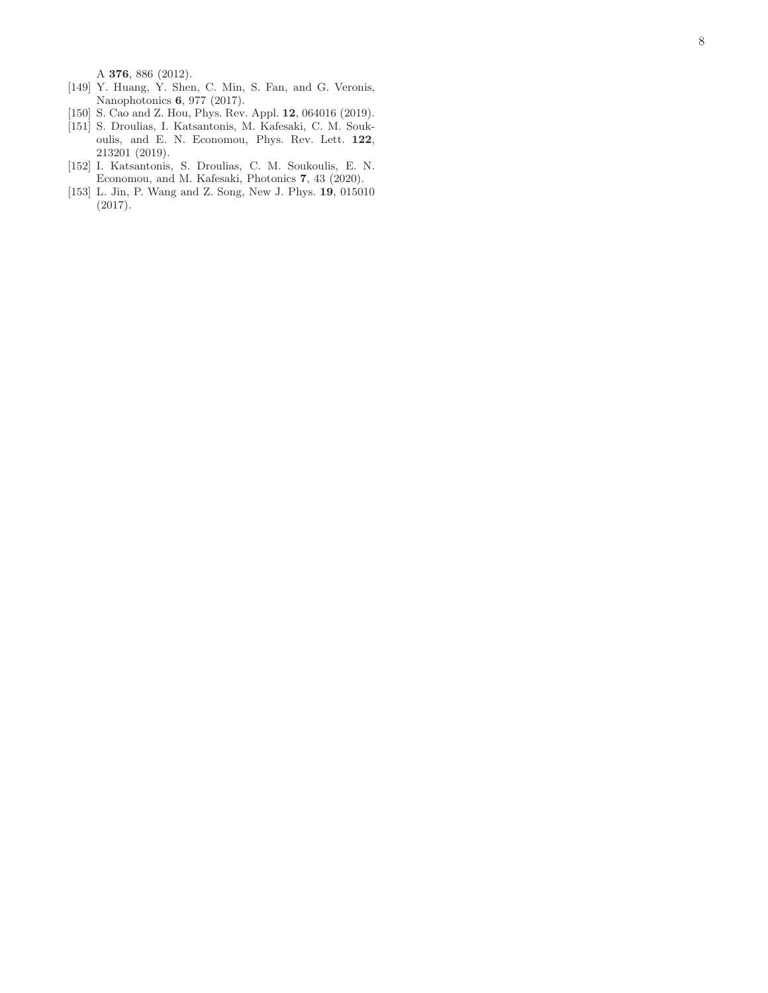A 376, 886 (2012).

- <span id="page-7-0"></span>[149] Y. Huang, Y. Shen, C. Min, S. Fan, and G. Veronis, Nanophotonics 6, 977 (2017).
- <span id="page-7-1"></span>[150] S. Cao and Z. Hou, Phys. Rev. Appl. 12, 064016 (2019).
- <span id="page-7-2"></span>[151] S. Droulias, I. Katsantonis, M. Kafesaki, C. M. Soukoulis, and E. N. Economou, Phys. Rev. Lett. 122, 213201 (2019).
- <span id="page-7-3"></span>[152] I. Katsantonis, S. Droulias, C. M. Soukoulis, E. N. Economou, and M. Kafesaki, Photonics 7, 43 (2020).
- <span id="page-7-4"></span>[153] L. Jin, P. Wang and Z. Song, New J. Phys. 19, 015010 (2017).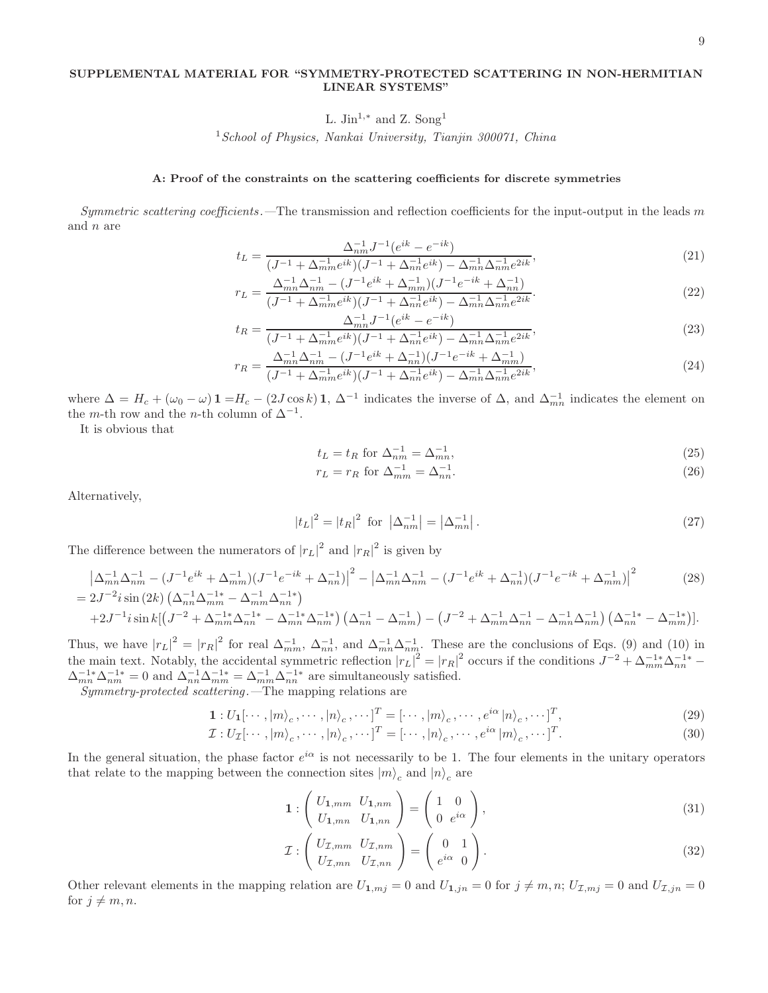## SUPPLEMENTAL MATERIAL FOR "SYMMETRY-PROTECTED SCATTERING IN NON-HERMITIAN LINEAR SYSTEMS"

L. Jin<sup>1,\*</sup> and Z. Song<sup>1</sup>

<sup>1</sup> School of Physics, Nankai University, Tianjin 300071, China

### A: Proof of the constraints on the scattering coefficients for discrete symmetries

Symmetric scattering coefficients. The transmission and reflection coefficients for the input-output in the leads  $m$ and n are

$$
t_L = \frac{\Delta_{nm}^{-1} J^{-1} (e^{ik} - e^{-ik})}{(J^{-1} + \Delta_{mm}^{-1} e^{ik})(J^{-1} + \Delta_{nn}^{-1} e^{ik}) - \Delta_{mn}^{-1} \Delta_{nm}^{-1} e^{2ik}},\tag{21}
$$

$$
r_L = \frac{\Delta_{mn}^{-1}\Delta_{nm}^{-1} - (J^{-1}e^{ik} + \Delta_{mm}^{-1})(J^{-1}e^{-ik} + \Delta_{nn}^{-1})}{(J^{-1} + \Delta_{mm}^{-1}e^{ik})(J^{-1} + \Delta_{nn}^{-1}e^{ik}) - \Delta_{mn}^{-1}\Delta_{nm}^{-1}e^{2ik}}.
$$
\n(22)

$$
t_R = \frac{\Delta_{mn}^{-1} J^{-1} (e^{ik} - e^{-ik})}{(J^{-1} + \Delta_{mm}^{-1} e^{ik})(J^{-1} + \Delta_{nn}^{-1} e^{ik}) - \Delta_{mn}^{-1} \Delta_{nm}^{-1} e^{2ik}},\tag{23}
$$

$$
r_R = \frac{\Delta_{mn}^{-1}\Delta_{nm}^{-1} - (J^{-1}e^{ik} + \Delta_{nn}^{-1})(J^{-1}e^{-ik} + \Delta_{nm}^{-1})}{(J^{-1} + \Delta_{mm}^{-1}e^{ik})(J^{-1} + \Delta_{nn}^{-1}e^{ik}) - \Delta_{mn}^{-1}\Delta_{nm}^{-1}e^{2ik}},
$$
\n(24)

where  $\Delta = H_c + (\omega_0 - \omega) \mathbf{1} = H_c - (2J \cos k) \mathbf{1}$ ,  $\Delta^{-1}$  indicates the inverse of  $\Delta$ , and  $\Delta_{mn}^{-1}$  indicates the element on the *m*-th row and the *n*-th column of  $\Delta^{-1}$ .

It is obvious that

$$
t_L = t_R \text{ for } \Delta_{nm}^{-1} = \Delta_{mn}^{-1},\tag{25}
$$

$$
r_L = r_R \text{ for } \Delta_{mm}^{-1} = \Delta_{nn}^{-1}.\tag{26}
$$

Alternatively,

$$
|t_L|^2 = |t_R|^2 \text{ for } |\Delta_{nm}^{-1}| = |\Delta_{mn}^{-1}|. \tag{27}
$$

The difference between the numerators of  $|r_L|^2$  and  $|r_R|^2$  is given by

$$
\left| \Delta_{mn}^{-1} \Delta_{nm}^{-1} - (J^{-1} e^{ik} + \Delta_{mm}^{-1}) (J^{-1} e^{-ik} + \Delta_{nn}^{-1}) \right|^2 - \left| \Delta_{mn}^{-1} \Delta_{nm}^{-1} - (J^{-1} e^{ik} + \Delta_{nn}^{-1}) (J^{-1} e^{-ik} + \Delta_{mm}^{-1}) \right|^2
$$
\n
$$
= 2J^{-2} i \sin (2k) \left( \Delta_{nn}^{-1} \Delta_{mm}^{-1} - \Delta_{mm}^{-1} \Delta_{nn}^{-1} \right)
$$
\n(28)

$$
+2J^{-1}i\sin k\left[\left(J^{-2}+\Delta_{mm}^{-1*}\Delta_{nn}^{-1*}-\Delta_{mn}^{-1*}\Delta_{nm}^{-1*}\right)\left(\Delta_{nn}^{-1}-\Delta_{mm}^{-1}\right)-\left(J^{-2}+\Delta_{mm}^{-1}\Delta_{nn}^{-1}-\Delta_{mn}^{-1}\Delta_{nm}^{-1}\right)\left(\Delta_{nn}^{-1*}-\Delta_{mm}^{-1*}\right)\right].
$$

Thus, we have  $|r_L|^2 = |r_R|^2$  for real  $\Delta_{mm}^{-1}$ ,  $\Delta_{nn}^{-1}$ , and  $\Delta_{mn}^{-1}\Delta_{nm}^{-1}$ . These are the conclusions of Eqs. (9) and (10) in the main text. Notably, the accidental symmetric reflection  $|r_L|^2 = |r_R|^2$  occurs if the conditions  $J^{-2} + \Delta_{mm}^{-1*} \Delta_{nn}^{-1*}$  $\Delta_{mn}^{-1*}\Delta_{nm}^{-1*} = 0$  and  $\Delta_{nn}^{-1}\Delta_{mm}^{-1*} = \Delta_{mm}^{-1}\Delta_{nn}^{-1*}$  are simultaneously satisfied.

Symmetry-protected scattering .—The mapping relations are

$$
\mathbf{1}: U_{\mathbf{1}}[\cdots, |m\rangle_{c}, \cdots, |n\rangle_{c}, \cdots]^T = [\cdots, |m\rangle_{c}, \cdots, e^{i\alpha} |n\rangle_{c}, \cdots]^T, \tag{29}
$$

$$
\mathcal{I}: U_{\mathcal{I}}[\cdots, |m\rangle_{c}, \cdots, |n\rangle_{c}, \cdots]^T = [\cdots, |n\rangle_{c}, \cdots, e^{i\alpha} |m\rangle_{c}, \cdots]^T.
$$
\n(30)

In the general situation, the phase factor  $e^{i\alpha}$  is not necessarily to be 1. The four elements in the unitary operators that relate to the mapping between the connection sites  $|m\rangle_c$  and  $|n\rangle_c$  are

$$
\mathbf{1}: \left(\begin{array}{c} U_{1,mm} & U_{1,nm} \\ U_{1,mn} & U_{1,nn} \end{array}\right) = \left(\begin{array}{c} 1 & 0 \\ 0 & e^{i\alpha} \end{array}\right),\tag{31}
$$

$$
\mathcal{I}: \begin{pmatrix} U_{\mathcal{I},mm} & U_{\mathcal{I},nm} \\ U_{\mathcal{I},mn} & U_{\mathcal{I},nn} \end{pmatrix} = \begin{pmatrix} 0 & 1 \\ e^{i\alpha} & 0 \end{pmatrix}.
$$
\n(32)

Other relevant elements in the mapping relation are  $U_{1,mj} = 0$  and  $U_{1,jn} = 0$  for  $j \neq m, n; U_{\mathcal{I},mj} = 0$  and  $U_{\mathcal{I},jn} = 0$ for  $j \neq m, n$ .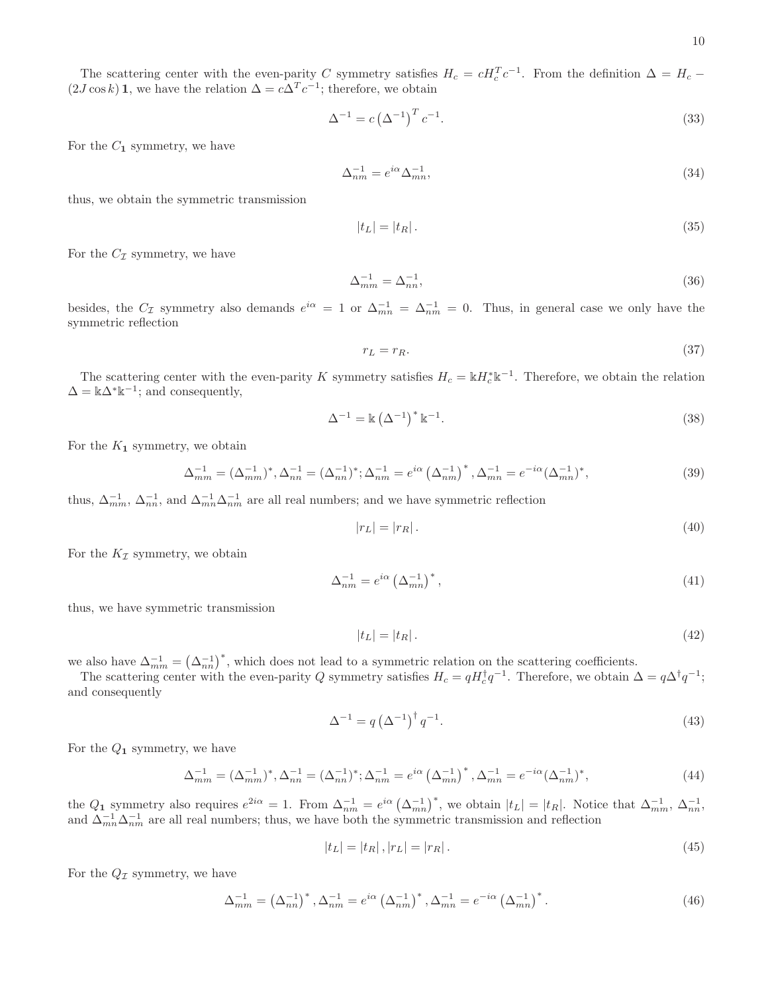The scattering center with the even-parity C symmetry satisfies  $H_c = cH_c^T c^{-1}$ . From the definition  $\Delta = H_c$  –  $(2J\cos k)\mathbf{1}$ , we have the relation  $\Delta = c\Delta^T c^{-1}$ ; therefore, we obtain

$$
\Delta^{-1} = c \left(\Delta^{-1}\right)^T c^{-1}.\tag{33}
$$

For the  $C_1$  symmetry, we have

$$
\Delta_{nm}^{-1} = e^{i\alpha} \Delta_{mn}^{-1},\tag{34}
$$

thus, we obtain the symmetric transmission

$$
|t_L| = |t_R| \,. \tag{35}
$$

For the  $C_{\mathcal{I}}$  symmetry, we have

$$
\Delta_{mm}^{-1} = \Delta_{nn}^{-1},\tag{36}
$$

besides, the  $C_{\mathcal{I}}$  symmetry also demands  $e^{i\alpha} = 1$  or  $\Delta_{mn}^{-1} = \Delta_{nm}^{-1} = 0$ . Thus, in general case we only have the symmetric reflection

$$
r_L = r_R. \tag{37}
$$

The scattering center with the even-parity K symmetry satisfies  $H_c = \mathbb{k} H_c^* \mathbb{k}^{-1}$ . Therefore, we obtain the relation  $\Delta = \mathbb{k}\Delta^*\mathbb{k}^{-1}$ ; and consequently,

$$
\Delta^{-1} = \mathbb{k} \left( \Delta^{-1} \right)^* \mathbb{k}^{-1}.
$$
\n
$$
(38)
$$

For the  $K_1$  symmetry, we obtain

$$
\Delta_{mm}^{-1} = (\Delta_{mm}^{-1})^*, \Delta_{nn}^{-1} = (\Delta_{nn}^{-1})^*; \Delta_{nm}^{-1} = e^{i\alpha} (\Delta_{nm}^{-1})^*, \Delta_{mn}^{-1} = e^{-i\alpha} (\Delta_{mn}^{-1})^*,
$$
\n(39)

thus,  $\Delta_{mm}^{-1}$ ,  $\Delta_{nn}^{-1}$ , and  $\Delta_{mn}^{-1}\Delta_{nm}^{-1}$  are all real numbers; and we have symmetric reflection

$$
|r_L| = |r_R| \tag{40}
$$

For the  $K_{\mathcal{I}}$  symmetry, we obtain

$$
\Delta_{nm}^{-1} = e^{i\alpha} \left(\Delta_{mn}^{-1}\right)^*,\tag{41}
$$

thus, we have symmetric transmission

$$
|t_L| = |t_R|.\tag{42}
$$

we also have  $\Delta_{mm}^{-1} = (\Delta_{nn}^{-1})^*$ , which does not lead to a symmetric relation on the scattering coefficients.

The scattering center with the even-parity Q symmetry satisfies  $H_c = qH_c^{\dagger}q^{-1}$ . Therefore, we obtain  $\Delta = q\Delta^{\dagger}q^{-1}$ ; and consequently

$$
\Delta^{-1} = q \left(\Delta^{-1}\right)^{\dagger} q^{-1}.\tag{43}
$$

For the  $Q_1$  symmetry, we have

$$
\Delta_{mm}^{-1} = (\Delta_{mm}^{-1})^*, \Delta_{nn}^{-1} = (\Delta_{nn}^{-1})^*; \Delta_{nm}^{-1} = e^{i\alpha} (\Delta_{mn}^{-1})^*, \Delta_{mn}^{-1} = e^{-i\alpha} (\Delta_{nm}^{-1})^*,
$$
\n(44)

the  $Q_1$  symmetry also requires  $e^{2i\alpha} = 1$ . From  $\Delta_{nm}^{-1} = e^{i\alpha} (\Delta_{mn}^{-1})^*$ , we obtain  $|t_L| = |t_R|$ . Notice that  $\Delta_{mm}^{-1}$ ,  $\Delta_{nn}^{-1}$ , and  $\Delta_{mn}^{-1}\Delta_{nm}^{-1}$  are all real numbers; thus, we have both the symmetric transmission and reflection

$$
|t_L| = |t_R|, |r_L| = |r_R|.
$$
\n(45)

For the  $Q_{\mathcal{I}}$  symmetry, we have

$$
\Delta_{mm}^{-1} = \left(\Delta_{nn}^{-1}\right)^*, \Delta_{nm}^{-1} = e^{i\alpha} \left(\Delta_{nm}^{-1}\right)^*, \Delta_{mn}^{-1} = e^{-i\alpha} \left(\Delta_{mn}^{-1}\right)^*.
$$
\n(46)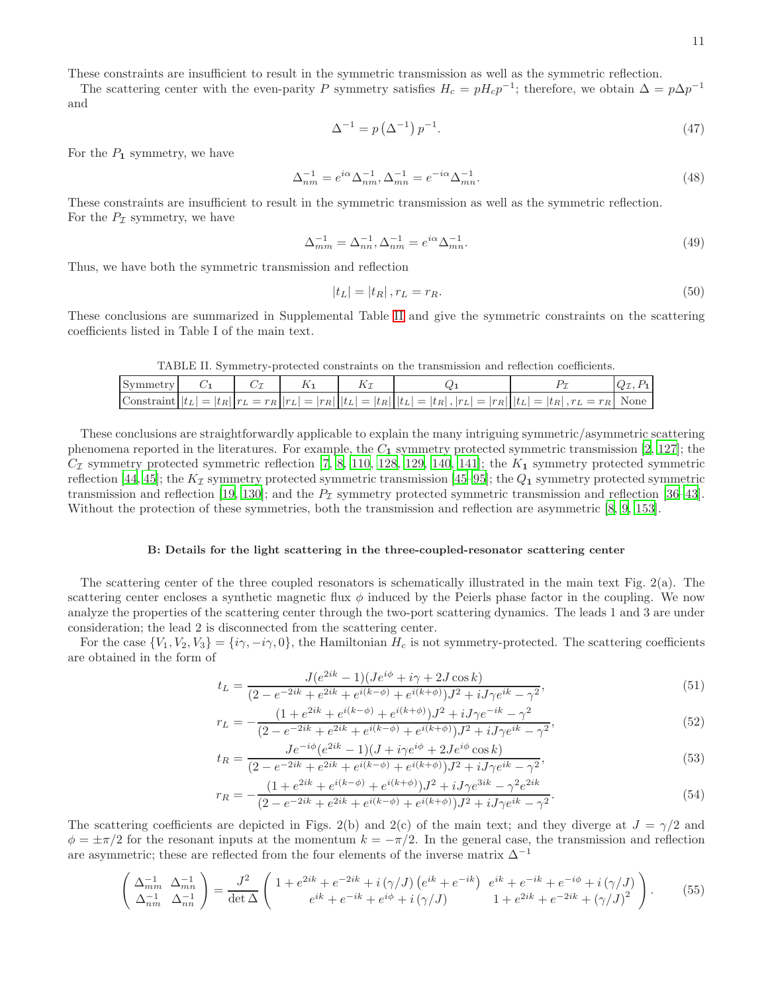These constraints are insufficient to result in the symmetric transmission as well as the symmetric reflection.

The scattering center with the even-parity P symmetry satisfies  $H_c = pH_c p^{-1}$ ; therefore, we obtain  $\Delta = p\Delta p^{-1}$ and

$$
\Delta^{-1} = p\left(\Delta^{-1}\right)p^{-1}.\tag{47}
$$

For the  $P_1$  symmetry, we have

$$
\Delta_{nm}^{-1} = e^{i\alpha} \Delta_{nm}^{-1}, \Delta_{mn}^{-1} = e^{-i\alpha} \Delta_{mn}^{-1}.
$$
\n(48)

These constraints are insufficient to result in the symmetric transmission as well as the symmetric reflection. For the  $P_{\mathcal{I}}$  symmetry, we have

$$
\Delta_{mm}^{-1} = \Delta_{nn}^{-1}, \Delta_{nm}^{-1} = e^{i\alpha} \Delta_{mn}^{-1}.
$$
\n(49)

Thus, we have both the symmetric transmission and reflection

$$
|t_L| = |t_R| \,, r_L = r_R. \tag{50}
$$

These conclusions are summarized in Supplemental Table [II](#page-10-0) and give the symmetric constraints on the scattering coefficients listed in Table I of the main text.

<span id="page-10-0"></span>TABLE II. Symmetry-protected constraints on the transmission and reflection coefficients.

| Symmetry |  |  |                                                                                                                                 |  |
|----------|--|--|---------------------------------------------------------------------------------------------------------------------------------|--|
|          |  |  | $\text{Constant}   t_L  =  t_R  r_L = r_R  r_L  =  r_R  t_L  =  t_R  t_L  =  t_R ,  r_L  =  r_R  t_L  =  t_R , r_L = r_R $ None |  |

These conclusions are straightforwardly applicable to explain the many intriguing symmetric/asymmetric scattering phenomena reported in the literatures. For example, the  $C_1$  symmetry protected symmetric transmission [\[2](#page-4-2), [127\]](#page-6-24); the  $C_{\mathcal{I}}$  symmetry protected symmetric reflection [\[7](#page-4-12), [8,](#page-4-11) [110](#page-6-9), [128,](#page-6-25) [129](#page-6-26), [140,](#page-6-34) [141](#page-6-36)]; the  $K_1$  symmetry protected symmetric reflection [\[44](#page-5-6), [45\]](#page-5-7); the  $K_{\mathcal{I}}$  symmetry protected symmetric transmission [\[45–](#page-5-7)[95\]](#page-6-0); the  $Q_1$  symmetry protected symmetric transmission and reflection [\[19](#page-4-9), [130](#page-6-27)]; and the  $P<sub>I</sub>$  symmetry protected symmetric transmission and reflection [\[36](#page-5-4)[–43\]](#page-5-5). Without the protection of these symmetries, both the transmission and reflection are asymmetric [\[8,](#page-4-11) [9,](#page-4-5) [153\]](#page-7-4).

### B: Details for the light scattering in the three-coupled-resonator scattering center

The scattering center of the three coupled resonators is schematically illustrated in the main text Fig. 2(a). The scattering center encloses a synthetic magnetic flux  $\phi$  induced by the Peierls phase factor in the coupling. We now analyze the properties of the scattering center through the two-port scattering dynamics. The leads 1 and 3 are under consideration; the lead 2 is disconnected from the scattering center.

For the case  $\{V_1, V_2, V_3\} = \{\dot{\imath}\gamma, -\dot{\imath}\gamma, 0\}$ , the Hamiltonian  $H_c$  is not symmetry-protected. The scattering coefficients are obtained in the form of

$$
t_L = \frac{J(e^{2ik} - 1)(Je^{i\phi} + i\gamma + 2J\cos k)}{(2 - e^{-2ik} + e^{2ik} + e^{i(k - \phi)} + e^{i(k + \phi)})J^2 + iJ\gamma e^{ik} - \gamma^2},\tag{51}
$$

$$
r_L = -\frac{(1 + e^{2ik} + e^{i(k-\phi)} + e^{i(k+\phi)})J^2 + iJ\gamma e^{-ik} - \gamma^2}{(2 - e^{-2ik} + e^{2ik} + e^{i(k-\phi)} + e^{i(k+\phi)})J^2 + iJ\gamma e^{ik} - \gamma^2},\tag{52}
$$

$$
t_R = \frac{J e^{-i\phi} (e^{2ik} - 1)(J + i\gamma e^{i\phi} + 2Je^{i\phi}\cos k)}{(2 - e^{-2ik} + e^{2ik} + e^{i(k - \phi)} + e^{i(k + \phi)})J^2 + iJ\gamma e^{ik} - \gamma^2},\tag{53}
$$

$$
r_R = -\frac{(1 + e^{2ik} + e^{i(k-\phi)} + e^{i(k+\phi)})J^2 + iJ\gamma e^{3ik} - \gamma^2 e^{2ik}}{(2 - e^{-2ik} + e^{2ik} + e^{i(k-\phi)} + e^{i(k+\phi)})J^2 + iJ\gamma e^{ik} - \gamma^2}.
$$
\n(54)

The scattering coefficients are depicted in Figs. 2(b) and 2(c) of the main text; and they diverge at  $J = \gamma/2$  and  $\phi = \pm \pi/2$  for the resonant inputs at the momentum  $k = -\pi/2$ . In the general case, the transmission and reflection are asymmetric; these are reflected from the four elements of the inverse matrix  $\Delta^{-1}$ 

$$
\begin{pmatrix}\n\Delta_{mm}^{-1} & \Delta_{mn}^{-1} \\
\Delta_{nm}^{-1} & \Delta_{nn}^{-1}\n\end{pmatrix} = \frac{J^2}{\det \Delta} \begin{pmatrix}\n1 + e^{2ik} + e^{-2ik} + i(\gamma/J) \left(e^{ik} + e^{-ik}\right) & e^{ik} + e^{-ik} + e^{-i\phi} + i(\gamma/J) \\
e^{ik} + e^{-ik} + e^{i\phi} + i(\gamma/J) & 1 + e^{2ik} + e^{-2ik} + (\gamma/J)^2\n\end{pmatrix}.
$$
\n(55)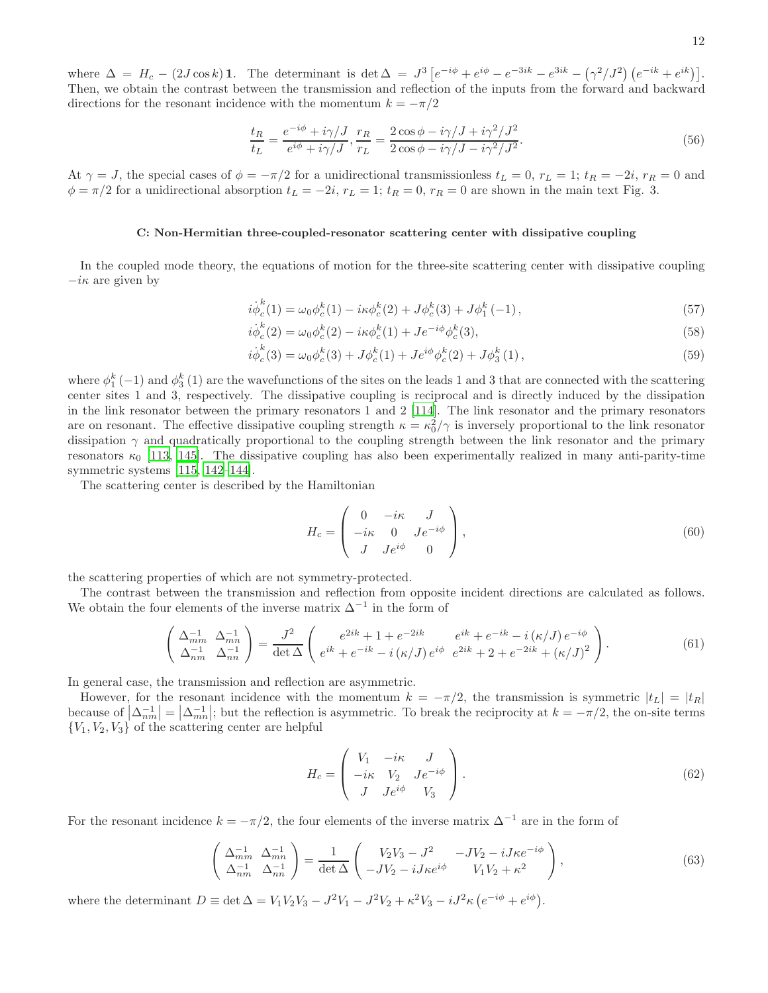where  $\Delta = H_c - (2J\cos k)\mathbf{1}$ . The determinant is  $\det \Delta = J^3 \left[ e^{-i\phi} + e^{i\phi} - e^{-3ik} - e^{3ik} - (\gamma^2/J^2) \left( e^{-ik} + e^{ik} \right) \right]$ . Then, we obtain the contrast between the transmission and reflection of the inputs from the forward and backward directions for the resonant incidence with the momentum  $k = -\pi/2$ 

$$
\frac{t_R}{t_L} = \frac{e^{-i\phi} + i\gamma/J}{e^{i\phi} + i\gamma/J}, \frac{r_R}{r_L} = \frac{2\cos\phi - i\gamma/J + i\gamma^2/J^2}{2\cos\phi - i\gamma/J - i\gamma^2/J^2}.
$$
\n
$$
(56)
$$

At  $\gamma = J$ , the special cases of  $\phi = -\pi/2$  for a unidirectional transmissionless  $t_L = 0$ ,  $r_L = 1$ ;  $t_R = -2i$ ,  $r_R = 0$  and  $\phi = \pi/2$  for a unidirectional absorption  $t_L = -2i$ ,  $r_L = 1$ ;  $t_R = 0$ ,  $r_R = 0$  are shown in the main text Fig. 3.

### C: Non-Hermitian three-coupled-resonator scattering center with dissipative coupling

In the coupled mode theory, the equations of motion for the three-site scattering center with dissipative coupling  $-i\kappa$  are given by

$$
i\dot{\phi}_c^k(1) = \omega_0 \phi_c^k(1) - i\kappa \phi_c^k(2) + J\phi_c^k(3) + J\phi_1^k(-1),
$$
\n(57)

$$
i\dot{\phi}_c^k(2) = \omega_0 \phi_c^k(2) - i\kappa \phi_c^k(1) + J e^{-i\phi} \phi_c^k(3),
$$
\n(58)

$$
i\dot{\phi}_c^k(3) = \omega_0 \phi_c^k(3) + J\phi_c^k(1) + Je^{i\phi}\phi_c^k(2) + J\phi_3^k(1),
$$
\n(59)

where  $\phi_1^k(-1)$  and  $\phi_3^k(1)$  are the wavefunctions of the sites on the leads 1 and 3 that are connected with the scattering center sites 1 and 3, respectively. The dissipative coupling is reciprocal and is directly induced by the dissipation in the link resonator between the primary resonators 1 and 2 [\[114\]](#page-6-12). The link resonator and the primary resonators are on resonant. The effective dissipative coupling strength  $\kappa = \kappa_0^2/\gamma$  is inversely proportional to the link resonator dissipation  $\gamma$  and quadratically proportional to the coupling strength between the link resonator and the primary resonators  $\kappa_0$  [\[113,](#page-6-11) [145\]](#page-6-39). The dissipative coupling has also been experimentally realized in many anti-parity-time symmetric systems [\[115](#page-6-13), [142](#page-6-38)[–144](#page-6-42)].

The scattering center is described by the Hamiltonian

$$
H_c = \begin{pmatrix} 0 & -i\kappa & J \\ -i\kappa & 0 & Je^{-i\phi} \\ J & Je^{i\phi} & 0 \end{pmatrix},
$$
(60)

the scattering properties of which are not symmetry-protected.

The contrast between the transmission and reflection from opposite incident directions are calculated as follows. We obtain the four elements of the inverse matrix  $\Delta^{-1}$  in the form of

$$
\begin{pmatrix}\n\Delta_{mm}^{-1} & \Delta_{mn}^{-1} \\
\Delta_{nm}^{-1} & \Delta_{nn}^{-1}\n\end{pmatrix} = \frac{J^2}{\det \Delta} \begin{pmatrix}\ne^{2ik} + 1 + e^{-2ik} & e^{ik} + e^{-ik} - i(\kappa/J) e^{-i\phi} \\
e^{ik} + e^{-ik} - i(\kappa/J) e^{i\phi} & e^{2ik} + 2 + e^{-2ik} + (\kappa/J)^2\n\end{pmatrix}.
$$
\n(61)

In general case, the transmission and reflection are asymmetric.

However, for the resonant incidence with the momentum  $k = -\pi/2$ , the transmission is symmetric  $|t_L| = |t_R|$ because of  $\left|\Delta_{nm}^{-1}\right| = \left|\Delta_{mn}^{-1}\right|$ ; but the reflection is asymmetric. To break the reciprocity at  $k = -\pi/2$ , the on-site terms  ${V_1, V_2, V_3}$  of the scattering center are helpful

<span id="page-11-0"></span>
$$
H_c = \begin{pmatrix} V_1 & -i\kappa & J \\ -i\kappa & V_2 & J e^{-i\phi} \\ J & J e^{i\phi} & V_3 \end{pmatrix} . \tag{62}
$$

For the resonant incidence  $k = -\pi/2$ , the four elements of the inverse matrix  $\Delta^{-1}$  are in the form of

$$
\begin{pmatrix}\n\Delta_{mm}^{-1} & \Delta_{mn}^{-1} \\
\Delta_{nm}^{-1} & \Delta_{nn}^{-1}\n\end{pmatrix} = \frac{1}{\det \Delta} \begin{pmatrix}\nV_2 V_3 - J^2 & -JV_2 - iJ\kappa e^{-i\phi} \\
-JV_2 - iJ\kappa e^{i\phi} & V_1 V_2 + \kappa^2\n\end{pmatrix},
$$
\n(63)

where the determinant  $D \equiv \det \Delta = V_1 V_2 V_3 - J^2 V_1 - J^2 V_2 + \kappa^2 V_3 - i J^2 \kappa (e^{-i\phi} + e^{i\phi}).$